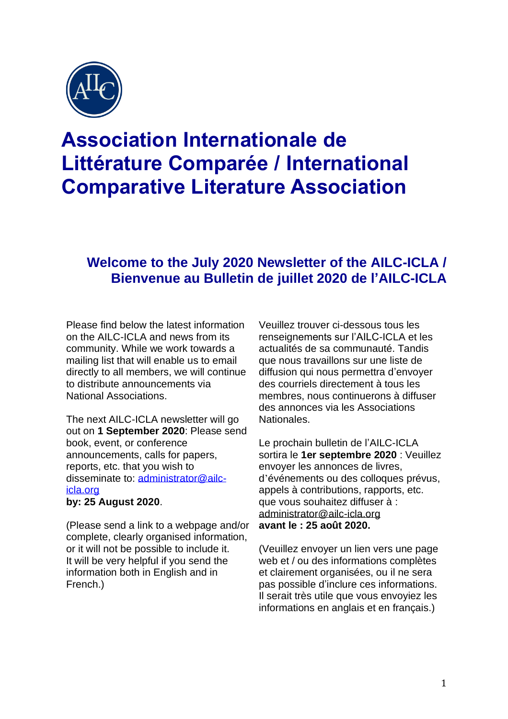

# **Association Internationale de Littérature Comparée / International Comparative Literature Association**

## **Welcome to the July 2020 Newsletter of the AILC-ICLA / Bienvenue au Bulletin de juillet 2020 de l'AILC-ICLA**

Please find below the latest information on the AILC-ICLA and news from its community. While we work towards a mailing list that will enable us to email directly to all members, we will continue to distribute announcements via National Associations.

The next AILC-ICLA newsletter will go out on **1 September 2020**: Please send book, event, or conference announcements, calls for papers, reports, etc. that you wish to disseminate to: [administrator@ailc](mailto:administrator@ailc-icla.org)[icla.org](mailto:administrator@ailc-icla.org)

#### **by: 25 August 2020**.

(Please send a link to a webpage and/or complete, clearly organised information, or it will not be possible to include it. It will be very helpful if you send the information both in English and in French.)

Veuillez trouver ci-dessous tous les renseignements sur l'AILC-ICLA et les actualités de sa communauté. Tandis que nous travaillons sur une liste de diffusion qui nous permettra d'envoyer des courriels directement à tous les membres, nous continuerons à diffuser des annonces via les Associations Nationales.

Le prochain bulletin de l'AILC-ICLA sortira le **1er septembre 2020** : Veuillez envoyer les annonces de livres, d'événements ou des colloques prévus, appels à contributions, rapports, etc. que vous souhaitez diffuser à : [administrator@ailc-icla.org](mailto:administrator@ailc-icla.org) **avant le : 25 août 2020.** 

(Veuillez envoyer un lien vers une page web et / ou des informations complètes et clairement organisées, ou il ne sera pas possible d'inclure ces informations. Il serait très utile que vous envoyiez les informations en anglais et en français.)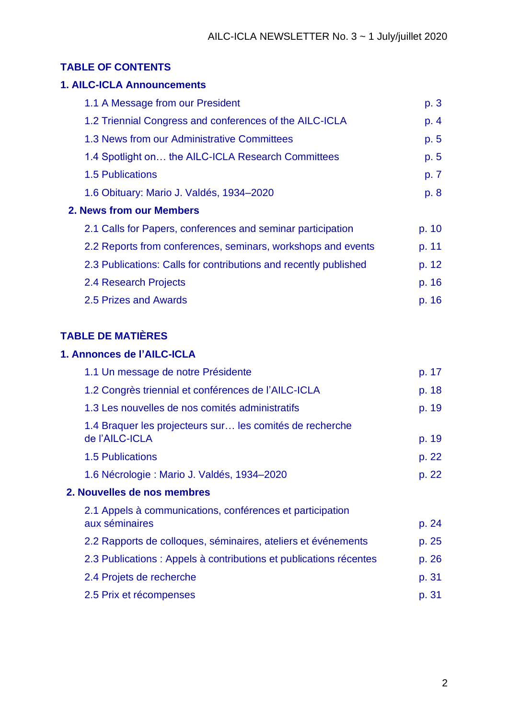#### **TABLE OF CONTENTS**

## **1. AILC-ICLA Announcements** 1.1 A Message from our President p. 3 1.2 Triennial Congress and conferences of the AILC-ICLA p. 4 1.3 News from our Administrative Committees **p. 5** 1.4 Spotlight on... the AILC-ICLA Research Committees p. 5 1.5 Publications **p. 7** 1.6 Obituary: Mario J. Valdés, 1934–2020 p. 8 **2. News from our Members** 2.1 Calls for Papers, conferences and seminar participation p. 10 2.2 Reports from conferences, seminars, workshops and events p. 11 2.3 Publications: Calls for contributions and recently published p. 12 2.4 Research Projects **p. 16** 2.5 Prizes and Awards p. 16

### **TABLE DE MATIÈRES**

#### **1. Annonces de l'AILC-ICLA**

|                             | 1.1 Un message de notre Présidente                                         | p. 17 |
|-----------------------------|----------------------------------------------------------------------------|-------|
|                             | 1.2 Congrès triennial et conférences de l'AILC-ICLA                        | p. 18 |
|                             | 1.3 Les nouvelles de nos comités administratifs                            | p. 19 |
|                             | 1.4 Braquer les projecteurs sur les comités de recherche<br>de l'AILC-ICLA | p. 19 |
|                             | <b>1.5 Publications</b>                                                    | p. 22 |
|                             | 1.6 Nécrologie : Mario J. Valdés, 1934–2020                                | p. 22 |
| 2. Nouvelles de nos membres |                                                                            |       |
|                             | 2.1 Appels à communications, conférences et participation                  |       |
|                             | aux séminaires                                                             | p. 24 |
|                             | 2.2 Rapports de colloques, séminaires, ateliers et événements              | p. 25 |
|                             | 2.3 Publications : Appels à contributions et publications récentes         | p. 26 |
|                             | 2.4 Projets de recherche                                                   | p. 31 |
|                             | 2.5 Prix et récompenses                                                    | p. 31 |
|                             |                                                                            |       |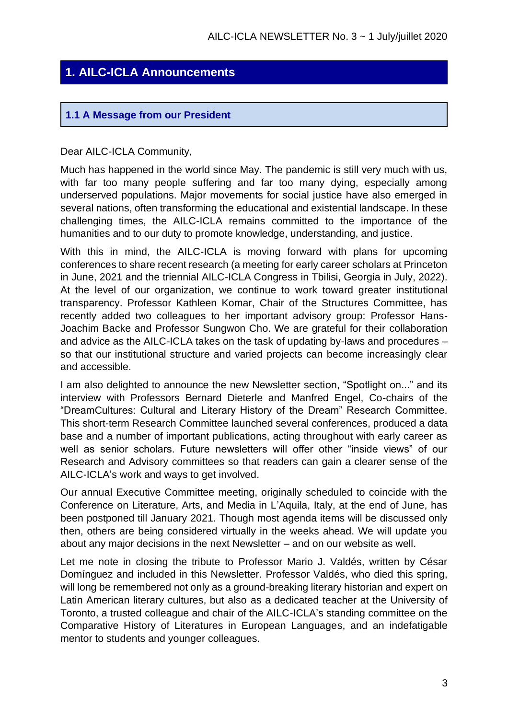## **1. AILC-ICLA Announcements**

#### **1.1 A Message from our President**

#### Dear AILC-ICLA Community,

Much has happened in the world since May. The pandemic is still very much with us, with far too many people suffering and far too many dying, especially among underserved populations. Major movements for social justice have also emerged in several nations, often transforming the educational and existential landscape. In these challenging times, the AILC-ICLA remains committed to the importance of the humanities and to our duty to promote knowledge, understanding, and justice.

With this in mind, the AILC-ICLA is moving forward with plans for upcoming conferences to share recent research (a meeting for early career scholars at Princeton in June, 2021 and the triennial AILC-ICLA Congress in Tbilisi, Georgia in July, 2022). At the level of our organization, we continue to work toward greater institutional transparency. Professor Kathleen Komar, Chair of the Structures Committee, has recently added two colleagues to her important advisory group: Professor Hans-Joachim Backe and Professor Sungwon Cho. We are grateful for their collaboration and advice as the AILC-ICLA takes on the task of updating by-laws and procedures – so that our institutional structure and varied projects can become increasingly clear and accessible.

I am also delighted to announce the new Newsletter section, "Spotlight on..." and its interview with Professors Bernard Dieterle and Manfred Engel, Co-chairs of the "DreamCultures: Cultural and Literary History of the Dream" Research Committee. This short-term Research Committee launched several conferences, produced a data base and a number of important publications, acting throughout with early career as well as senior scholars. Future newsletters will offer other "inside views" of our Research and Advisory committees so that readers can gain a clearer sense of the AILC-ICLA's work and ways to get involved.

Our annual Executive Committee meeting, originally scheduled to coincide with the Conference on Literature, Arts, and Media in L'Aquila, Italy, at the end of June, has been postponed till January 2021. Though most agenda items will be discussed only then, others are being considered virtually in the weeks ahead. We will update you about any major decisions in the next Newsletter – and on our website as well.

Let me note in closing the tribute to Professor Mario J. Valdés, written by César Domínguez and included in this Newsletter. Professor Valdés, who died this spring, will long be remembered not only as a ground-breaking literary historian and expert on Latin American literary cultures, but also as a dedicated teacher at the University of Toronto, a trusted colleague and chair of the AILC-ICLA's standing committee on the Comparative History of Literatures in European Languages, and an indefatigable mentor to students and younger colleagues.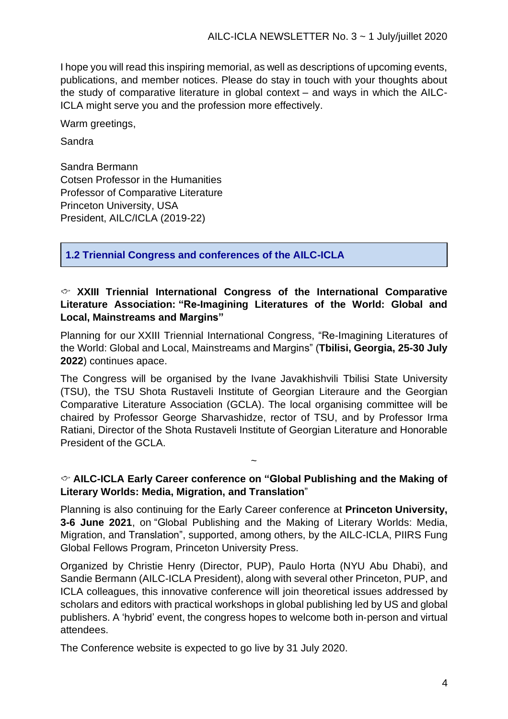I hope you will read this inspiring memorial, as well as descriptions of upcoming events, publications, and member notices. Please do stay in touch with your thoughts about the study of comparative literature in global context – and ways in which the AILC-ICLA might serve you and the profession more effectively.

Warm greetings,

Sandra

Sandra Bermann Cotsen Professor in the Humanities Professor of Comparative Literature Princeton University, USA President, AILC/ICLA (2019-22)

**1.2 Triennial Congress and conferences of the AILC-ICLA**

#### **XXIII Triennial International Congress of the International Comparative Literature Association: "Re-Imagining Literatures of the World: Global and Local, Mainstreams and Margins"**

Planning for our XXIII Triennial International Congress, "Re-Imagining Literatures of the World: Global and Local, Mainstreams and Margins" (**Tbilisi, Georgia, 25-30 July 2022**) continues apace.

The Congress will be organised by the Ivane Javakhishvili Tbilisi State University (TSU), the TSU Shota Rustaveli Institute of Georgian Literaure and the Georgian Comparative Literature Association (GCLA). The local organising committee will be chaired by Professor George Sharvashidze, rector of TSU, and by Professor Irma Ratiani, Director of the Shota Rustaveli Institute of Georgian Literature and Honorable President of the GCLA.

#### **AILC-ICLA Early Career conference on "Global Publishing and the Making of Literary Worlds: Media, Migration, and Translation**"

~

Planning is also continuing for the Early Career conference at **Princeton University, 3-6 June 2021**, on "Global Publishing and the Making of Literary Worlds: Media, Migration, and Translation", supported, among others, by the AILC-ICLA, PIIRS Fung Global Fellows Program, Princeton University Press.

Organized by Christie Henry (Director, PUP), Paulo Horta (NYU Abu Dhabi), and Sandie Bermann (AILC-ICLA President), along with several other Princeton, PUP, and ICLA colleagues, this innovative conference will join theoretical issues addressed by scholars and editors with practical workshops in global publishing led by US and global publishers. A 'hybrid' event, the congress hopes to welcome both in‐person and virtual attendees.

The Conference website is expected to go live by 31 July 2020.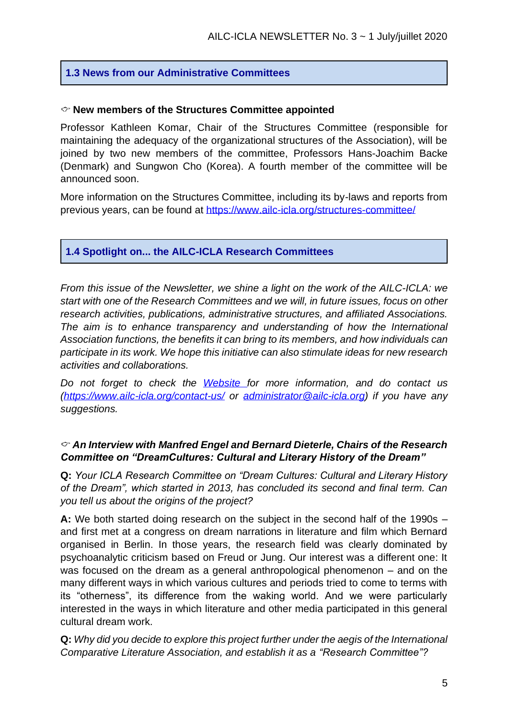#### **1.3 News from our Administrative Committees**

#### **New members of the Structures Committee appointed**

Professor Kathleen Komar, Chair of the Structures Committee (responsible for maintaining the adequacy of the organizational structures of the Association), will be joined by two new members of the committee, Professors Hans-Joachim Backe (Denmark) and Sungwon Cho (Korea). A fourth member of the committee will be announced soon.

More information on the Structures Committee, including its by-laws and reports from previous years, can be found at<https://www.ailc-icla.org/structures-committee/>

#### **1.4 Spotlight on... the AILC-ICLA Research Committees**

*From this issue of the Newsletter, we shine a light on the work of the AILC-ICLA: we start with one of the Research Committees and we will, in future issues, focus on other research activities, publications, administrative structures, and affiliated Associations. The aim is to enhance transparency and understanding of how the International Association functions, the benefits it can bring to its members, and how individuals can participate in its work. We hope this initiative can also stimulate ideas for new research activities and collaborations.*

*Do not forget to check the [Website](https://www.ailc-icla.org/) for more information, and do contact us [\(https://www.ailc-icla.org/contact-us/](https://www.ailc-icla.org/contact-us/) or [administrator@ailc-icla.org\)](mailto:administrator@ailc-icla.org) if you have any suggestions.*

#### *An Interview with Manfred Engel and Bernard Dieterle, Chairs of the Research Committee on "DreamCultures: Cultural and Literary History of the Dream"*

**Q:** *Your ICLA Research Committee on "Dream Cultures: Cultural and Literary History of the Dream", which started in 2013, has concluded its second and final term. Can you tell us about the origins of the project?* 

**A:** We both started doing research on the subject in the second half of the 1990s – and first met at a congress on dream narrations in literature and film which Bernard organised in Berlin. In those years, the research field was clearly dominated by psychoanalytic criticism based on Freud or Jung. Our interest was a different one: It was focused on the dream as a general anthropological phenomenon – and on the many different ways in which various cultures and periods tried to come to terms with its "otherness", its difference from the waking world. And we were particularly interested in the ways in which literature and other media participated in this general cultural dream work.

**Q:** *Why did you decide to explore this project further under the aegis of the International Comparative Literature Association, and establish it as a "Research Committee"?*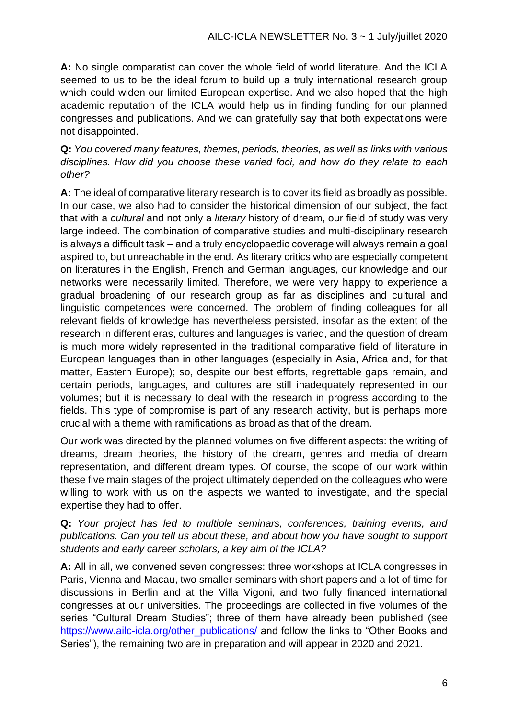**A:** No single comparatist can cover the whole field of world literature. And the ICLA seemed to us to be the ideal forum to build up a truly international research group which could widen our limited European expertise. And we also hoped that the high academic reputation of the ICLA would help us in finding funding for our planned congresses and publications. And we can gratefully say that both expectations were not disappointed.

**Q:** *You covered many features, themes, periods, theories, as well as links with various disciplines. How did you choose these varied foci, and how do they relate to each other?*

**A:** The ideal of comparative literary research is to cover its field as broadly as possible. In our case, we also had to consider the historical dimension of our subject, the fact that with a *cultural* and not only a *literary* history of dream, our field of study was very large indeed. The combination of comparative studies and multi-disciplinary research is always a difficult task – and a truly encyclopaedic coverage will always remain a goal aspired to, but unreachable in the end. As literary critics who are especially competent on literatures in the English, French and German languages, our knowledge and our networks were necessarily limited. Therefore, we were very happy to experience a gradual broadening of our research group as far as disciplines and cultural and linguistic competences were concerned. The problem of finding colleagues for all relevant fields of knowledge has nevertheless persisted, insofar as the extent of the research in different eras, cultures and languages is varied, and the question of dream is much more widely represented in the traditional comparative field of literature in European languages than in other languages (especially in Asia, Africa and, for that matter, Eastern Europe); so, despite our best efforts, regrettable gaps remain, and certain periods, languages, and cultures are still inadequately represented in our volumes; but it is necessary to deal with the research in progress according to the fields. This type of compromise is part of any research activity, but is perhaps more crucial with a theme with ramifications as broad as that of the dream.

Our work was directed by the planned volumes on five different aspects: the writing of dreams, dream theories, the history of the dream, genres and media of dream representation, and different dream types. Of course, the scope of our work within these five main stages of the project ultimately depended on the colleagues who were willing to work with us on the aspects we wanted to investigate, and the special expertise they had to offer.

#### **Q:** *Your project has led to multiple seminars, conferences, training events, and publications. Can you tell us about these, and about how you have sought to support students and early career scholars, a key aim of the ICLA?*

**A:** All in all, we convened seven congresses: three workshops at ICLA congresses in Paris, Vienna and Macau, two smaller seminars with short papers and a lot of time for discussions in Berlin and at the Villa Vigoni, and two fully financed international congresses at our universities. The proceedings are collected in five volumes of the series "Cultural Dream Studies"; three of them have already been published (see [https://www.ailc-icla.org/other\\_publications/](https://www.ailc-icla.org/other_publications/) and follow the links to "Other Books and Series"), the remaining two are in preparation and will appear in 2020 and 2021.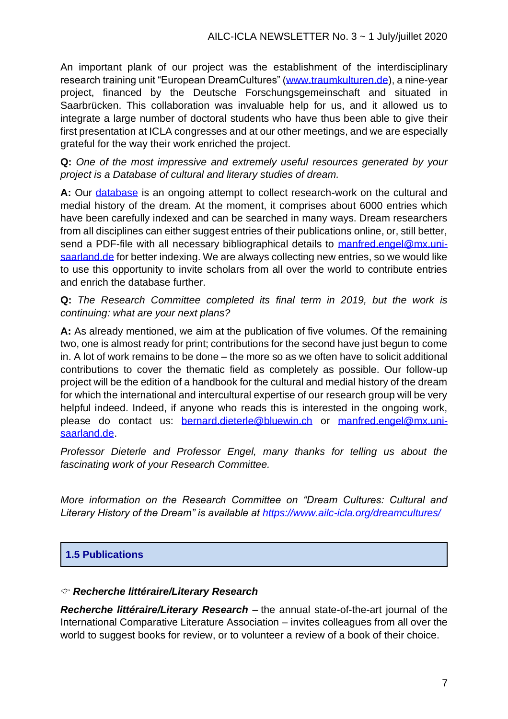An important plank of our project was the establishment of the interdisciplinary research training unit "European DreamCultures" [\(www.traumkulturen.de\)](http://www.traumkulturen.de/), a nine-year project, financed by the Deutsche Forschungsgemeinschaft and situated in Saarbrücken. This collaboration was invaluable help for us, and it allowed us to integrate a large number of doctoral students who have thus been able to give their first presentation at ICLA congresses and at our other meetings, and we are especially grateful for the way their work enriched the project.

**Q:** *One of the most impressive and extremely useful resources generated by your project is a Database of cultural and literary studies of dream.* 

**A:** Our [database](http://kulturpoetik.germanistik.uni-saarland.de/DreamCultures/research_search.php) is an ongoing attempt to collect research-work on the cultural and medial history of the dream. At the moment, it comprises about 6000 entries which have been carefully indexed and can be searched in many ways. Dream researchers from all disciplines can either suggest entries of their publications online, or, still better, send a PDF-file with all necessary bibliographical details to [manfred.engel@mx.uni](mailto:manfred.engel@mx.uni-saarland.de)[saarland.de](mailto:manfred.engel@mx.uni-saarland.de) for better indexing. We are always collecting new entries, so we would like to use this opportunity to invite scholars from all over the world to contribute entries and enrich the database further.

**Q:** *The Research Committee completed its final term in 2019, but the work is continuing: what are your next plans?*

**A:** As already mentioned, we aim at the publication of five volumes. Of the remaining two, one is almost ready for print; contributions for the second have just begun to come in. A lot of work remains to be done – the more so as we often have to solicit additional contributions to cover the thematic field as completely as possible. Our follow-up project will be the edition of a handbook for the cultural and medial history of the dream for which the international and intercultural expertise of our research group will be very helpful indeed. Indeed, if anyone who reads this is interested in the ongoing work, please do contact us: [bernard.dieterle@bluewin.ch](mailto:bernard.dieterle@bluewin.ch) or [manfred.engel@mx.uni](mailto:manfred.engel@mx.uni-saarland.de)[saarland.de.](mailto:manfred.engel@mx.uni-saarland.de)

*Professor Dieterle and Professor Engel, many thanks for telling us about the fascinating work of your Research Committee.*

*More information on the Research Committee on "Dream Cultures: Cultural and Literary History of the Dream" is available at<https://www.ailc-icla.org/dreamcultures/>*

#### **1.5 Publications**

#### *Recherche littéraire/Literary Research*

*Recherche littéraire/Literary Research* – the annual state-of-the-art journal of the International Comparative Literature Association – invites colleagues from all over the world to suggest books for review, or to volunteer a review of a book of their choice.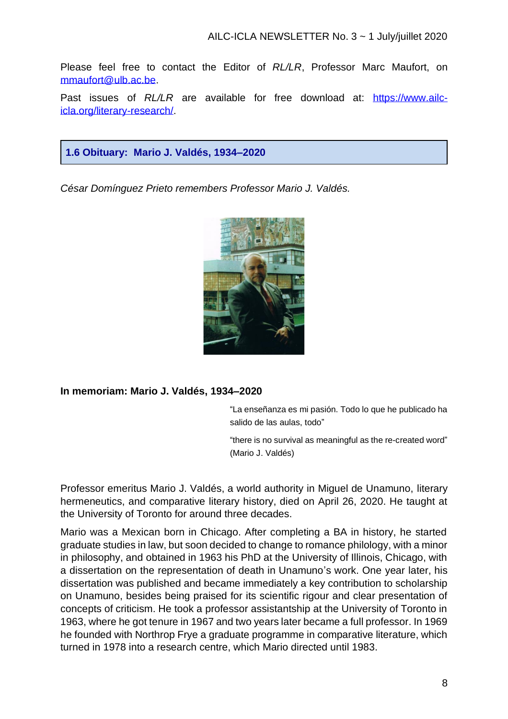Please feel free to contact the Editor of *RL/LR*, Professor Marc Maufort, on [mmaufort@ulb.ac.be.](mailto:mmaufort@ulb.ac.be)

Past issues of *RL/LR* are available for free download at: [https://www.ailc](https://www.ailc-icla.org/literary-research/)[icla.org/literary-research/.](https://www.ailc-icla.org/literary-research/)

#### **1.6 Obituary: Mario J. Valdés, 1934–2020**

*César Domínguez Prieto remembers Professor Mario J. Valdés.*



#### **In memoriam: Mario J. Valdés, 1934–2020**

"La enseñanza es mi pasión. Todo lo que he publicado ha salido de las aulas, todo"

"there is no survival as meaningful as the re-created word" (Mario J. Valdés)

Professor emeritus Mario J. Valdés, a world authority in Miguel de Unamuno, literary hermeneutics, and comparative literary history, died on April 26, 2020. He taught at the University of Toronto for around three decades.

Mario was a Mexican born in Chicago. After completing a BA in history, he started graduate studies in law, but soon decided to change to romance philology, with a minor in philosophy, and obtained in 1963 his PhD at the University of Illinois, Chicago, with a dissertation on the representation of death in Unamuno's work. One year later, his dissertation was published and became immediately a key contribution to scholarship on Unamuno, besides being praised for its scientific rigour and clear presentation of concepts of criticism. He took a professor assistantship at the University of Toronto in 1963, where he got tenure in 1967 and two years later became a full professor. In 1969 he founded with Northrop Frye a graduate programme in comparative literature, which turned in 1978 into a research centre, which Mario directed until 1983.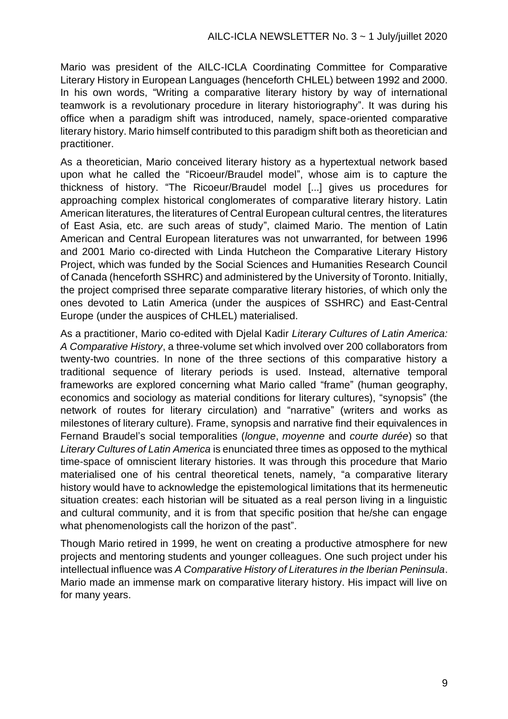Mario was president of the AILC-ICLA Coordinating Committee for Comparative Literary History in European Languages (henceforth CHLEL) between 1992 and 2000. In his own words, "Writing a comparative literary history by way of international teamwork is a revolutionary procedure in literary historiography". It was during his office when a paradigm shift was introduced, namely, space-oriented comparative literary history. Mario himself contributed to this paradigm shift both as theoretician and practitioner.

As a theoretician, Mario conceived literary history as a hypertextual network based upon what he called the "Ricoeur/Braudel model", whose aim is to capture the thickness of history. "The Ricoeur/Braudel model [...] gives us procedures for approaching complex historical conglomerates of comparative literary history. Latin American literatures, the literatures of Central European cultural centres, the literatures of East Asia, etc. are such areas of study", claimed Mario. The mention of Latin American and Central European literatures was not unwarranted, for between 1996 and 2001 Mario co-directed with Linda Hutcheon the Comparative Literary History Project, which was funded by the Social Sciences and Humanities Research Council of Canada (henceforth SSHRC) and administered by the University of Toronto. Initially, the project comprised three separate comparative literary histories, of which only the ones devoted to Latin America (under the auspices of SSHRC) and East-Central Europe (under the auspices of CHLEL) materialised.

As a practitioner, Mario co-edited with Djelal Kadir *Literary Cultures of Latin America: A Comparative History*, a three-volume set which involved over 200 collaborators from twenty-two countries. In none of the three sections of this comparative history a traditional sequence of literary periods is used. Instead, alternative temporal frameworks are explored concerning what Mario called "frame" (human geography, economics and sociology as material conditions for literary cultures), "synopsis" (the network of routes for literary circulation) and "narrative" (writers and works as milestones of literary culture). Frame, synopsis and narrative find their equivalences in Fernand Braudel's social temporalities (*longue*, *moyenne* and *courte durée*) so that *Literary Cultures of Latin America* is enunciated three times as opposed to the mythical time-space of omniscient literary histories. It was through this procedure that Mario materialised one of his central theoretical tenets, namely, "a comparative literary history would have to acknowledge the epistemological limitations that its hermeneutic situation creates: each historian will be situated as a real person living in a linguistic and cultural community, and it is from that specific position that he/she can engage what phenomenologists call the horizon of the past".

Though Mario retired in 1999, he went on creating a productive atmosphere for new projects and mentoring students and younger colleagues. One such project under his intellectual influence was *A Comparative History of Literatures in the Iberian Peninsula*. Mario made an immense mark on comparative literary history. His impact will live on for many years.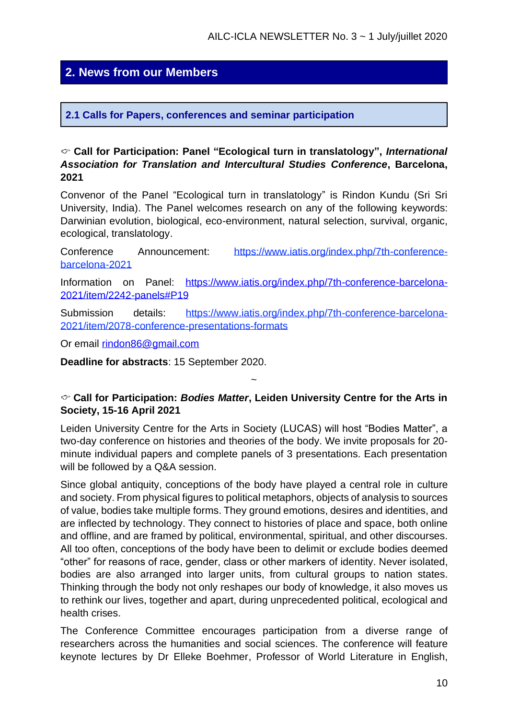## **2. News from our Members**

#### **2.1 Calls for Papers, conferences and seminar participation**

#### **Call for Participation: Panel "Ecological turn in translatology",** *International Association for Translation and Intercultural Studies Conference***, Barcelona, 2021**

Convenor of the Panel "Ecological turn in translatology" is Rindon Kundu (Sri Sri University, India). The Panel welcomes research on any of the following keywords: Darwinian evolution, biological, eco-environment, natural selection, survival, organic, ecological, translatology.

Conference Announcement: [https://www.iatis.org/index.php/7th-conference](https://www.iatis.org/index.php/7th-conference-barcelona-2021)[barcelona-2021](https://www.iatis.org/index.php/7th-conference-barcelona-2021)

Information on Panel: [https://www.iatis.org/index.php/7th-conference-barcelona-](https://www.iatis.org/index.php/7th-conference-barcelona-2021/item/2242-panels#P19)[2021/item/2242-panels#P19](https://www.iatis.org/index.php/7th-conference-barcelona-2021/item/2242-panels#P19)

Submission details: [https://www.iatis.org/index.php/7th-conference-barcelona-](https://www.iatis.org/index.php/7th-conference-barcelona-2021/item/2078-conference-presentations-formats)[2021/item/2078-conference-presentations-formats](https://www.iatis.org/index.php/7th-conference-barcelona-2021/item/2078-conference-presentations-formats)

Or email [rindon86@gmail.com](mailto:rindon86@gmail.com)

**Deadline for abstracts**: 15 September 2020.

#### **Call for Participation:** *Bodies Matter***, Leiden University Centre for the Arts in Society, 15-16 April 2021**

~

Leiden University Centre for the Arts in Society (LUCAS) will host "Bodies Matter", a two-day conference on histories and theories of the body. We invite proposals for 20 minute individual papers and complete panels of 3 presentations. Each presentation will be followed by a Q&A session.

Since global antiquity, conceptions of the body have played a central role in culture and society. From physical figures to political metaphors, objects of analysis to sources of value, bodies take multiple forms. They ground emotions, desires and identities, and are inflected by technology. They connect to histories of place and space, both online and offline, and are framed by political, environmental, spiritual, and other discourses. All too often, conceptions of the body have been to delimit or exclude bodies deemed "other" for reasons of race, gender, class or other markers of identity. Never isolated, bodies are also arranged into larger units, from cultural groups to nation states. Thinking through the body not only reshapes our body of knowledge, it also moves us to rethink our lives, together and apart, during unprecedented political, ecological and health crises.

The Conference Committee encourages participation from a diverse range of researchers across the humanities and social sciences. The conference will feature keynote lectures by Dr Elleke Boehmer, Professor of World Literature in English,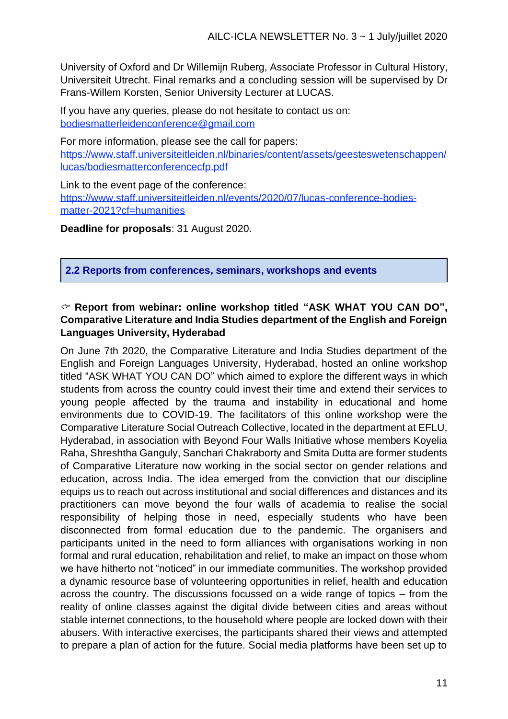University of Oxford and Dr Willemijn Ruberg, Associate Professor in Cultural History, Universiteit Utrecht. Final remarks and a concluding session will be supervised by Dr Frans-Willem Korsten, Senior University Lecturer at LUCAS.

If you have any queries, please do not hesitate to contact us on: bodiesmatterleidenconference@gmail.com

For more information, please see the call for papers: [https://www.staff.universiteitleiden.nl/binaries/content/assets/geesteswetenschappen/](https://www.staff.universiteitleiden.nl/binaries/content/assets/geesteswetenschappen/lucas/bodiesmatterconferencecfp.pdf) [lucas/bodiesmatterconferencecfp.pdf](https://www.staff.universiteitleiden.nl/binaries/content/assets/geesteswetenschappen/lucas/bodiesmatterconferencecfp.pdf)

Link to the event page of the conference: [https://www.staff.universiteitleiden.nl/events/2020/07/lucas-conference-bodies](https://www.staff.universiteitleiden.nl/events/2020/07/lucas-conference-bodies-matter-2021?cf=humanities)[matter-2021?cf=humanities](https://www.staff.universiteitleiden.nl/events/2020/07/lucas-conference-bodies-matter-2021?cf=humanities)

**Deadline for proposals**: 31 August 2020.

**2.2 Reports from conferences, seminars, workshops and events**

#### **Report from webinar: online workshop titled "ASK WHAT YOU CAN DO", Comparative Literature and India Studies department of the English and Foreign Languages University, Hyderabad**

On June 7th 2020, the Comparative Literature and India Studies department of the English and Foreign Languages University, Hyderabad, hosted an online workshop titled "ASK WHAT YOU CAN DO" which aimed to explore the different ways in which students from across the country could invest their time and extend their services to young people affected by the trauma and instability in educational and home environments due to COVID-19. The facilitators of this online workshop were the Comparative Literature Social Outreach Collective, located in the department at EFLU, Hyderabad, in association with Beyond Four Walls Initiative whose members Koyelia Raha, Shreshtha Ganguly, Sanchari Chakraborty and Smita Dutta are former students of Comparative Literature now working in the social sector on gender relations and education, across India. The idea emerged from the conviction that our discipline equips us to reach out across institutional and social differences and distances and its practitioners can move beyond the four walls of academia to realise the social responsibility of helping those in need, especially students who have been disconnected from formal education due to the pandemic. The organisers and participants united in the need to form alliances with organisations working in non formal and rural education, rehabilitation and relief, to make an impact on those whom we have hitherto not "noticed" in our immediate communities. The workshop provided a dynamic resource base of volunteering opportunities in relief, health and education across the country. The discussions focussed on a wide range of topics – from the reality of online classes against the digital divide between cities and areas without stable internet connections, to the household where people are locked down with their abusers. With interactive exercises, the participants shared their views and attempted to prepare a plan of action for the future. Social media platforms have been set up to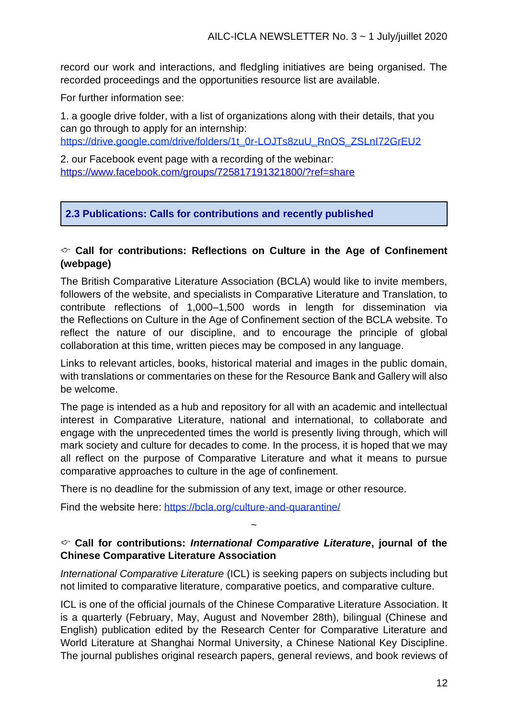record our work and interactions, and fledgling initiatives are being organised. The recorded proceedings and the opportunities resource list are available.

For further information see:

1. a google drive folder, with a list of organizations along with their details, that you can go through to apply for an internship:

[https://drive.google.com/drive/folders/1t\\_0r-LOJTs8zuU\\_RnOS\\_ZSLnI72GrEU2](https://drive.google.com/drive/folders/1t_0r-LOJTs8zuU_RnOS_ZSLnI72GrEU2)

2. our Facebook event page with a recording of the webinar: <https://www.facebook.com/groups/725817191321800/?ref=share>

#### **2.3 Publications: Calls for contributions and recently published**

#### **Call for contributions: Reflections on Culture in the Age of [Confinement](https://bcla.org/culture-and-confinement/) (webpage)**

The British Comparative Literature Association (BCLA) would like to invite members, followers of the website, and specialists in Comparative Literature and Translation, to contribute reflections of 1,000–1,500 words in length for dissemination via the Reflections on Culture in the Age of Confinement section of the BCLA website. To reflect the nature of our discipline, and to encourage the principle of global collaboration at this time, written pieces may be composed in any language.

Links to relevant articles, books, historical material and images in the public domain, with translations or commentaries on these for the Resource Bank and Gallery will also be welcome.

The page is intended as a hub and repository for all with an academic and intellectual interest in Comparative Literature, national and international, to collaborate and engage with the unprecedented times the world is presently living through, which will mark society and culture for decades to come. In the process, it is hoped that we may all reflect on the purpose of Comparative Literature and what it means to pursue comparative approaches to culture in the age of confinement.

There is no deadline for the submission of any text, image or other resource.

Find the website here: https://bcla.org/culture-and-quarantine/

#### **Call for contributions:** *International Comparative Literature***, journal of the Chinese Comparative Literature Association**

~

*International Comparative Literature* (ICL) is seeking papers on subjects including but not limited to comparative literature, comparative poetics, and comparative culture.

ICL is one of the official journals of the Chinese Comparative Literature Association. It is a quarterly (February, May, August and November 28th), bilingual (Chinese and English) publication edited by the Research Center for Comparative Literature and World Literature at Shanghai Normal University, a Chinese National Key Discipline. The journal publishes original research papers, general reviews, and book reviews of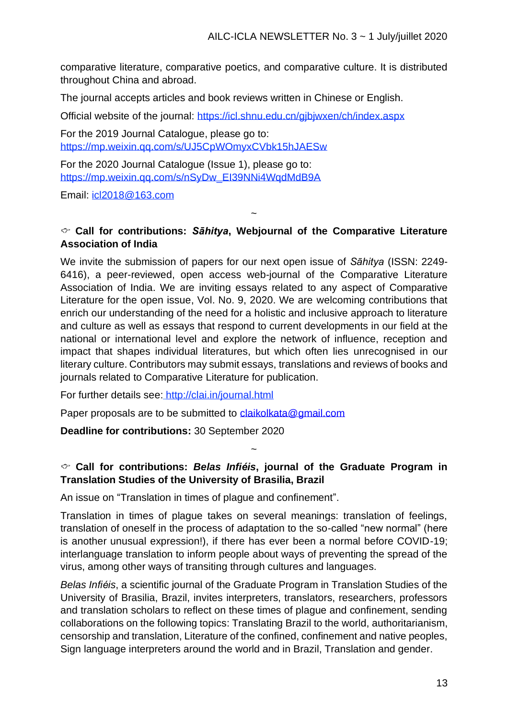comparative literature, comparative poetics, and comparative culture. It is distributed throughout China and abroad.

The journal accepts articles and book reviews written in Chinese or English.

Official website of the journal: <https://icl.shnu.edu.cn/gjbjwxen/ch/index.aspx>

For the 2019 Journal Catalogue, please go to: <https://mp.weixin.qq.com/s/UJ5CpWOmyxCVbk15hJAESw>

For the 2020 Journal Catalogue (Issue 1), please go to: [https://mp.weixin.qq.com/s/nSyDw\\_EI39NNi4WqdMdB9A](https://mp.weixin.qq.com/s/nSyDw_EI39NNi4WqdMdB9A)

Email: [icl2018@163.com](https://box5902.bluehost.com:2096/cpsess5229719498/3rdparty/squirrelmail/src/compose.php?send_to=icl2018%40163.com)

#### **Call for contributions:** *Sāhitya***, Webjournal of the Comparative Literature Association of India**

~

We invite the submission of papers for our next open issue of *Sāhitya* (ISSN: 2249- 6416), a peer-reviewed, open access web-journal of the Comparative Literature Association of India. We are inviting essays related to any aspect of Comparative Literature for the open issue, Vol. No. 9, 2020. We are welcoming contributions that enrich our understanding of the need for a holistic and inclusive approach to literature and culture as well as essays that respond to current developments in our field at the national or international level and explore the network of influence, reception and impact that shapes individual literatures, but which often lies unrecognised in our literary culture. Contributors may submit essays, translations and reviews of books and journals related to Comparative Literature for publication.

For further details see: http://clai.in/journal.html

Paper proposals are to be submitted to [claikolkata@gmail.com](mailto:claikolkata@gmail.com)

**Deadline for contributions:** 30 September 2020

#### **Call for contributions:** *Belas Infiéis***, journal of the Graduate Program in Translation Studies of the University of Brasilia, Brazil**

~

An issue on "Translation in times of plague and confinement".

Translation in times of plague takes on several meanings: translation of feelings, translation of oneself in the process of adaptation to the so-called "new normal" (here is another unusual expression!), if there has ever been a normal before COVID-19; interlanguage translation to inform people about ways of preventing the spread of the virus, among other ways of transiting through cultures and languages.

*Belas Infiéis*, a scientific journal of the Graduate Program in Translation Studies of the University of Brasilia, Brazil, invites interpreters, translators, researchers, professors and translation scholars to reflect on these times of plague and confinement, sending collaborations on the following topics: Translating Brazil to the world, authoritarianism, censorship and translation, Literature of the confined, confinement and native peoples, Sign language interpreters around the world and in Brazil, Translation and gender.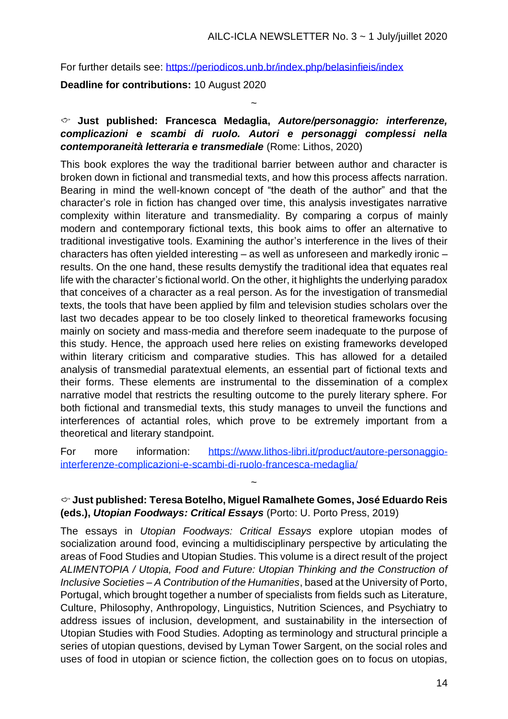For further details see:<https://periodicos.unb.br/index.php/belasinfieis/index>

**Deadline for contributions:** 10 August 2020

#### **Just published: Francesca Medaglia,** *Autore/personaggio: interferenze, complicazioni e scambi di ruolo. Autori e personaggi complessi nella contemporaneità letteraria e transmediale* (Rome: Lithos, 2020)

~

This book explores the way the traditional barrier between author and character is broken down in fictional and transmedial texts, and how this process affects narration. Bearing in mind the well-known concept of "the death of the author" and that the character's role in fiction has changed over time, this analysis investigates narrative complexity within literature and transmediality. By comparing a corpus of mainly modern and contemporary fictional texts, this book aims to offer an alternative to traditional investigative tools. Examining the author's interference in the lives of their characters has often yielded interesting – as well as unforeseen and markedly ironic – results. On the one hand, these results demystify the traditional idea that equates real life with the character's fictional world. On the other, it highlights the underlying paradox that conceives of a character as a real person. As for the investigation of transmedial texts, the tools that have been applied by film and television studies scholars over the last two decades appear to be too closely linked to theoretical frameworks focusing mainly on society and mass-media and therefore seem inadequate to the purpose of this study. Hence, the approach used here relies on existing frameworks developed within literary criticism and comparative studies. This has allowed for a detailed analysis of transmedial paratextual elements, an essential part of fictional texts and their forms. These elements are instrumental to the dissemination of a complex narrative model that restricts the resulting outcome to the purely literary sphere. For both fictional and transmedial texts, this study manages to unveil the functions and interferences of actantial roles, which prove to be extremely important from a theoretical and literary standpoint.

For more information: [https://www.lithos-libri.it/product/autore-personaggio](https://www.lithos-libri.it/product/autore-personaggio-interferenze-complicazioni-e-scambi-di-ruolo-francesca-medaglia/)[interferenze-complicazioni-e-scambi-di-ruolo-francesca-medaglia/](https://www.lithos-libri.it/product/autore-personaggio-interferenze-complicazioni-e-scambi-di-ruolo-francesca-medaglia/)

#### **Just published: Teresa Botelho, Miguel Ramalhete Gomes, José Eduardo Reis (eds.),** *Utopian Foodways: Critical Essays* (Porto: U. Porto Press, 2019)

~

The essays in *Utopian Foodways: Critical Essays* explore utopian modes of socialization around food, evincing a multidisciplinary perspective by articulating the areas of Food Studies and Utopian Studies. This volume is a direct result of the project *ALIMENTOPIA / Utopia, Food and Future: Utopian Thinking and the Construction of Inclusive Societies – A Contribution of the Humanities*, based at the University of Porto, Portugal, which brought together a number of specialists from fields such as Literature, Culture, Philosophy, Anthropology, Linguistics, Nutrition Sciences, and Psychiatry to address issues of inclusion, development, and sustainability in the intersection of Utopian Studies with Food Studies. Adopting as terminology and structural principle a series of utopian questions, devised by Lyman Tower Sargent, on the social roles and uses of food in utopian or science fiction, the collection goes on to focus on utopias,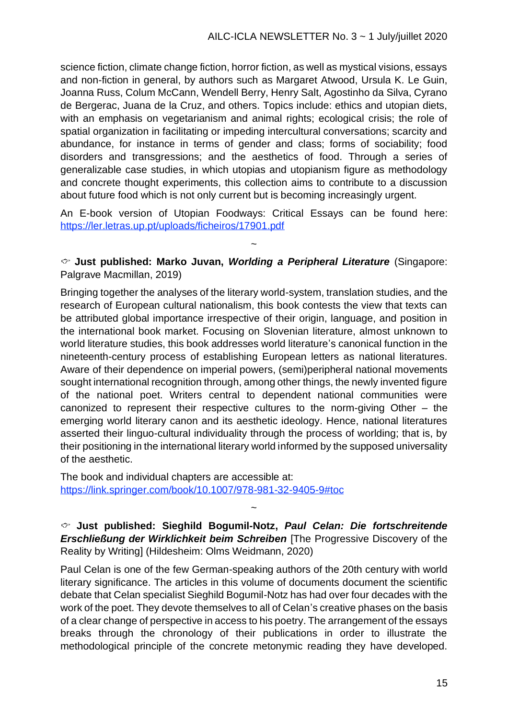science fiction, climate change fiction, horror fiction, as well as mystical visions, essays and non-fiction in general, by authors such as Margaret Atwood, Ursula K. Le Guin, Joanna Russ, Colum McCann, Wendell Berry, Henry Salt, Agostinho da Silva, Cyrano de Bergerac, Juana de la Cruz, and others. Topics include: ethics and utopian diets, with an emphasis on vegetarianism and animal rights; ecological crisis; the role of spatial organization in facilitating or impeding intercultural conversations; scarcity and abundance, for instance in terms of gender and class; forms of sociability; food disorders and transgressions; and the aesthetics of food. Through a series of generalizable case studies, in which utopias and utopianism figure as methodology and concrete thought experiments, this collection aims to contribute to a discussion about future food which is not only current but is becoming increasingly urgent.

An E-book version of Utopian Foodways: Critical Essays can be found here: <https://ler.letras.up.pt/uploads/ficheiros/17901.pdf>

**Just published: Marko Juvan,** *[Worlding a Peripheral Literature](https://www.palgrave.com/jp/book/9789813294042#aboutBook)* (Singapore: Palgrave Macmillan, 2019)

~

Bringing together the analyses of the literary world-system, translation studies, and the research of European cultural nationalism, this book contests the view that texts can be attributed global importance irrespective of their origin, language, and position in the international book market. Focusing on Slovenian literature, almost unknown to world literature studies, this book addresses world literature's canonical function in the nineteenth-century process of establishing European letters as national literatures. Aware of their dependence on imperial powers, (semi)peripheral national movements sought international recognition through, among other things, the newly invented figure of the national poet. Writers central to dependent national communities were canonized to represent their respective cultures to the norm-giving Other – the emerging world literary canon and its aesthetic ideology. Hence, national literatures asserted their linguo-cultural individuality through the process of worlding; that is, by their positioning in the international literary world informed by the supposed universality of the aesthetic.

The book and individual chapters are accessible at: https://link.springer.com/book/10.1007/978-981-32-9405-9#toc

**Just published: Sieghild Bogumil-Notz,** *Paul Celan: Die fortschreitende Erschließung der Wirklichkeit beim Schreiben* [The Progressive Discovery of the Reality by Writing] (Hildesheim: Olms Weidmann, 2020)

~

Paul Celan is one of the few German-speaking authors of the 20th century with world literary significance. The articles in this volume of documents document the scientific debate that Celan specialist Sieghild Bogumil-Notz has had over four decades with the work of the poet. They devote themselves to all of Celan's creative phases on the basis of a clear change of perspective in access to his poetry. The arrangement of the essays breaks through the chronology of their publications in order to illustrate the methodological principle of the concrete metonymic reading they have developed.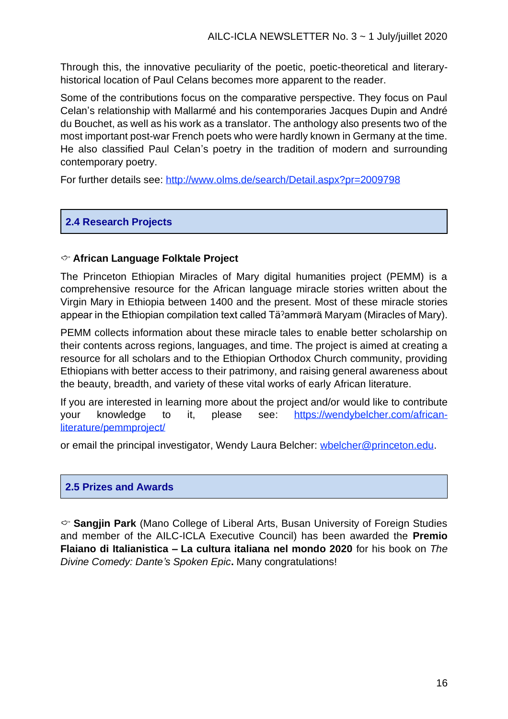Through this, the innovative peculiarity of the poetic, poetic-theoretical and literaryhistorical location of Paul Celans becomes more apparent to the reader.

Some of the contributions focus on the comparative perspective. They focus on Paul Celan's relationship with Mallarmé and his contemporaries Jacques Dupin and André du Bouchet, as well as his work as a translator. The anthology also presents two of the most important post-war French poets who were hardly known in Germany at the time. He also classified Paul Celan's poetry in the tradition of modern and surrounding contemporary poetry.

For further details see: <http://www.olms.de/search/Detail.aspx?pr=2009798>

#### **2.4 Research Projects**

#### **African Language Folktale Project**

The Princeton Ethiopian Miracles of Mary digital humanities project (PEMM) is a comprehensive resource for the African language miracle stories written about the Virgin Mary in Ethiopia between 1400 and the present. Most of these miracle stories appear in the Ethiopian compilation text called Täˀammərä Maryam (Miracles of Mary).

PEMM collects information about these miracle tales to enable better scholarship on their contents across regions, languages, and time. The project is aimed at creating a resource for all scholars and to the Ethiopian Orthodox Church community, providing Ethiopians with better access to their patrimony, and raising general awareness about the beauty, breadth, and variety of these vital works of early African literature.

If you are interested in learning more about the project and/or would like to contribute your knowledge to it, please see: [https://wendybelcher.com/african](https://wendybelcher.com/african-literature/pemmproject/)[literature/pemmproject/](https://wendybelcher.com/african-literature/pemmproject/)

or email the principal investigator, Wendy Laura Belcher: whelcher@princeton.edu.

#### **2.5 Prizes and Awards**

**Sangjin Park** (Mano College of Liberal Arts, Busan University of Foreign Studies and member of the AILC-ICLA Executive Council) has been awarded the **Premio Flaiano di Italianistica – La cultura italiana nel mondo 2020** for his book on *The Divine Comedy: Dante's Spoken Epic***.** Many congratulations!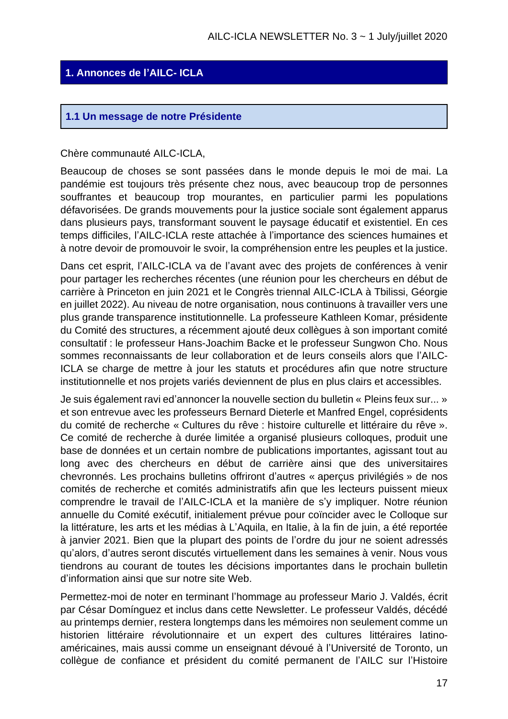#### **1. Annonces de l'AILC- ICLA**

#### **1.1 Un message de notre Présidente**

Chère communauté AILC-ICLA,

Beaucoup de choses se sont passées dans le monde depuis le moi de mai. La pandémie est toujours très présente chez nous, avec beaucoup trop de personnes souffrantes et beaucoup trop mourantes, en particulier parmi les populations défavorisées. De grands mouvements pour la justice sociale sont également apparus dans plusieurs pays, transformant souvent le paysage éducatif et existentiel. En ces temps difficiles, l'AILC-ICLA reste attachée à l'importance des sciences humaines et à notre devoir de promouvoir le svoir, la compréhension entre les peuples et la justice.

Dans cet esprit, l'AILC-ICLA va de l'avant avec des projets de conférences à venir pour partager les recherches récentes (une réunion pour les chercheurs en début de carrière à Princeton en juin 2021 et le Congrès triennal AILC-ICLA à Tbilissi, Géorgie en juillet 2022). Au niveau de notre organisation, nous continuons à travailler vers une plus grande transparence institutionnelle. La professeure Kathleen Komar, présidente du Comité des structures, a récemment ajouté deux collègues à son important comité consultatif : le professeur Hans-Joachim Backe et le professeur Sungwon Cho. Nous sommes reconnaissants de leur collaboration et de leurs conseils alors que l'AILC-ICLA se charge de mettre à jour les statuts et procédures afin que notre structure institutionnelle et nos projets variés deviennent de plus en plus clairs et accessibles.

Je suis également ravi ed'annoncer la nouvelle section du bulletin « Pleins feux sur... » et son entrevue avec les professeurs Bernard Dieterle et Manfred Engel, coprésidents du comité de recherche « Cultures du rêve : histoire culturelle et littéraire du rêve ». Ce comité de recherche à durée limitée a organisé plusieurs colloques, produit une base de données et un certain nombre de publications importantes, agissant tout au long avec des chercheurs en début de carrière ainsi que des universitaires chevronnés. Les prochains bulletins offriront d'autres « aperçus privilégiés » de nos comités de recherche et comités administratifs afin que les lecteurs puissent mieux comprendre le travail de l'AILC-ICLA et la manière de s'y impliquer. Notre réunion annuelle du Comité exécutif, initialement prévue pour coïncider avec le Colloque sur la littérature, les arts et les médias à L'Aquila, en Italie, à la fin de juin, a été reportée à janvier 2021. Bien que la plupart des points de l'ordre du jour ne soient adressés qu'alors, d'autres seront discutés virtuellement dans les semaines à venir. Nous vous tiendrons au courant de toutes les décisions importantes dans le prochain bulletin d'information ainsi que sur notre site Web.

Permettez-moi de noter en terminant l'hommage au professeur Mario J. Valdés, écrit par César Domínguez et inclus dans cette Newsletter. Le professeur Valdés, décédé au printemps dernier, restera longtemps dans les mémoires non seulement comme un historien littéraire révolutionnaire et un expert des cultures littéraires latinoaméricaines, mais aussi comme un enseignant dévoué à l'Université de Toronto, un collègue de confiance et président du comité permanent de l'AILC sur l'Histoire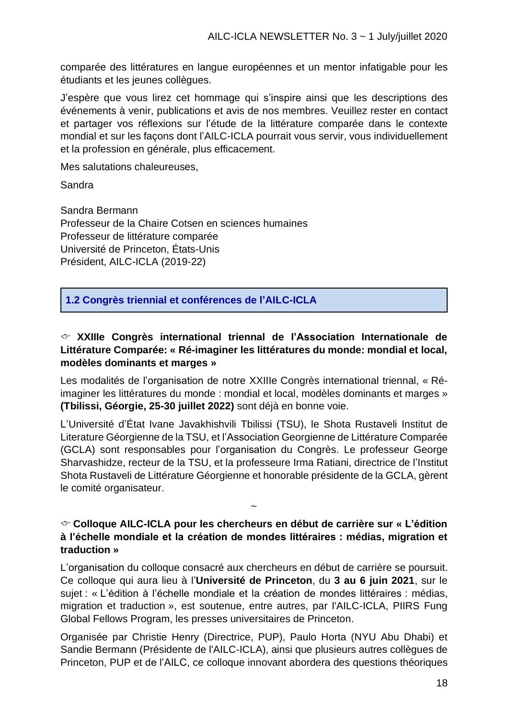comparée des littératures en langue européennes et un mentor infatigable pour les étudiants et les jeunes collègues.

J'espère que vous lirez cet hommage qui s'inspire ainsi que les descriptions des événements à venir, publications et avis de nos membres. Veuillez rester en contact et partager vos réflexions sur l'étude de la littérature comparée dans le contexte mondial et sur les façons dont l'AILC-ICLA pourrait vous servir, vous individuellement et la profession en générale, plus efficacement.

Mes salutations chaleureuses,

Sandra

Sandra Bermann Professeur de la Chaire Cotsen en sciences humaines Professeur de littérature comparée Université de Princeton, États-Unis Président, AILC-ICLA (2019-22)

**1.2 Congrès triennial et conférences de l'AILC-ICLA**

#### **XXIIIe Congrès international triennal de l'Association Internationale de Littérature Comparée: « Ré-imaginer les littératures du monde: mondial et local, modèles dominants et marges »**

Les modalités de l'organisation de notre XXIIIe Congrès international triennal, « Réimaginer les littératures du monde : mondial et local, modèles dominants et marges » **(Tbilissi, Géorgie, 25-30 juillet 2022)** sont déjà en bonne voie.

L'Université d'État Ivane Javakhishvili Tbilissi (TSU), le Shota Rustaveli Institut de Literature Géorgienne de la TSU, et l'Association Georgienne de Littérature Comparée (GCLA) sont responsables pour l'organisation du Congrès. Le professeur George Sharvashidze, recteur de la TSU, et la professeure Irma Ratiani, directrice de l'Institut Shota Rustaveli de Littérature Géorgienne et honorable présidente de la GCLA, gèrent le comité organisateur.

#### **Colloque AILC-ICLA pour les chercheurs en début de carrière sur « L'édition à l'échelle mondiale et la création de mondes littéraires : médias, migration et traduction »**

~

L'organisation du colloque consacré aux chercheurs en début de carrière se poursuit. Ce colloque qui aura lieu à l'**Université de Princeton**, du **3 au 6 juin 2021**, sur le sujet : « L'édition à l'échelle mondiale et la création de mondes littéraires : médias, migration et traduction », est soutenue, entre autres, par l'AILC-ICLA, PIIRS Fung Global Fellows Program, les presses universitaires de Princeton.

Organisée par Christie Henry (Directrice, PUP), Paulo Horta (NYU Abu Dhabi) et Sandie Bermann (Présidente de l'AILC-ICLA), ainsi que plusieurs autres collègues de Princeton, PUP et de l'AILC, ce colloque innovant abordera des questions théoriques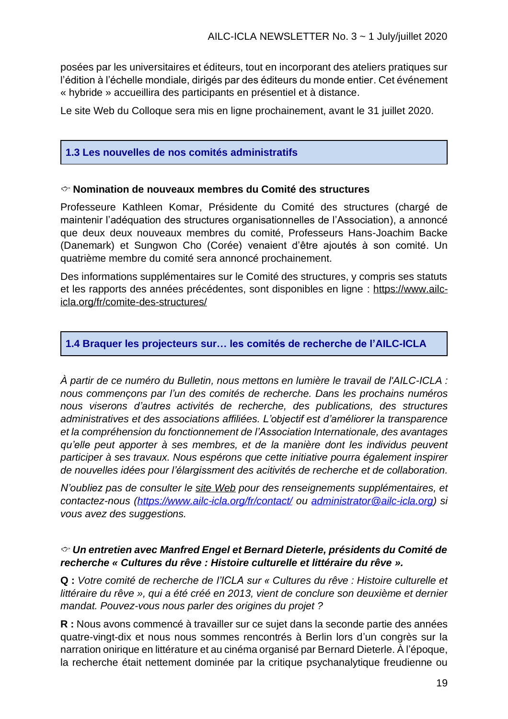posées par les universitaires et éditeurs, tout en incorporant des ateliers pratiques sur l'édition à l'échelle mondiale, dirigés par des éditeurs du monde entier. Cet événement « hybride » accueillira des participants en présentiel et à distance.

Le site Web du Colloque sera mis en ligne prochainement, avant le 31 juillet 2020.

#### **1.3 Les nouvelles de nos comités administratifs**

#### **Nomination de nouveaux membres du Comité des structures**

Professeure Kathleen Komar, Présidente du Comité des structures (chargé de maintenir l'adéquation des structures organisationnelles de l'Association), a annoncé que deux deux nouveaux membres du comité, Professeurs Hans-Joachim Backe (Danemark) et Sungwon Cho (Corée) venaient d'être ajoutés à son comité. Un quatrième membre du comité sera annoncé prochainement.

Des informations supplémentaires sur le Comité des structures, y compris ses statuts et les rapports des années précédentes, sont disponibles en ligne : [https://www.ailc](https://www.ailc-icla.org/fr/comite-des-structures/)[icla.org/fr/comite-des-structures/](https://www.ailc-icla.org/fr/comite-des-structures/)

#### **1.4 Braquer les projecteurs sur… les comités de recherche de l'AILC-ICLA**

*À partir de ce numéro du Bulletin, nous mettons en lumière le travail de l'AILC-ICLA : nous commençons par l'un des comités de recherche. Dans les prochains numéros nous viserons d'autres activités de recherche, des publications, des structures administratives et des associations affiliées. L'objectif est d'améliorer la transparence et la compréhension du fonctionnement de l'Association Internationale, des avantages qu'elle peut apporter à ses membres, et de la manière dont les individus peuvent participer à ses travaux. Nous espérons que cette initiative pourra également inspirer de nouvelles idées pour l'élargissment des acitivités de recherche et de collaboration.*

*N'oubliez pas de consulter le site [Web](https://www.ailc-icla.org/fr/) pour des renseignements supplémentaires, et contactez-nous [\(https://www.ailc-icla.org/fr/contact/](https://www.ailc-icla.org/fr/contact/) ou [administrator@ailc-icla.org\)](mailto:administrator@ailc-icla.org) si vous avez des suggestions.*

#### *Un entretien avec Manfred Engel et Bernard Dieterle, présidents du Comité de recherche « Cultures du rêve : Histoire culturelle et littéraire du rêve ».*

**Q :** *Votre comité de recherche de l'ICLA sur « Cultures du rêve : Histoire culturelle et littéraire du rêve », qui a été créé en 2013, vient de conclure son deuxième et dernier mandat. Pouvez-vous nous parler des origines du projet ?*

**R :** Nous avons commencé à travailler sur ce sujet dans la seconde partie des années quatre-vingt-dix et nous nous sommes rencontrés à Berlin lors d'un congrès sur la narration onirique en littérature et au cinéma organisé par Bernard Dieterle. À l'époque, la recherche était nettement dominée par la critique psychanalytique freudienne ou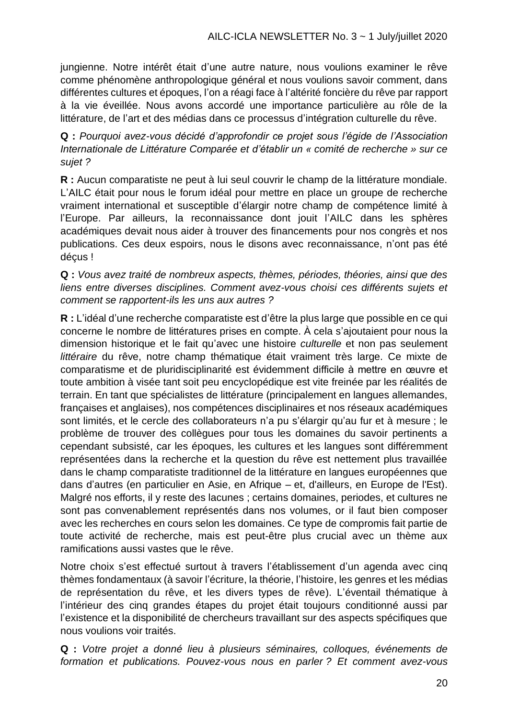jungienne. Notre intérêt était d'une autre nature, nous voulions examiner le rêve comme phénomène anthropologique général et nous voulions savoir comment, dans différentes cultures et époques, l'on a réagi face à l'altérité foncière du rêve par rapport à la vie éveillée. Nous avons accordé une importance particulière au rôle de la littérature, de l'art et des médias dans ce processus d'intégration culturelle du rêve.

**Q :** *Pourquoi avez-vous décidé d'approfondir ce projet sous l'égide de l'Association Internationale de Littérature Comparée et d'établir un « comité de recherche » sur ce sujet ?* 

**R :** Aucun comparatiste ne peut à lui seul couvrir le champ de la littérature mondiale. L'AILC était pour nous le forum idéal pour mettre en place un groupe de recherche vraiment international et susceptible d'élargir notre champ de compétence limité à l'Europe. Par ailleurs, la reconnaissance dont jouit l'AILC dans les sphères académiques devait nous aider à trouver des financements pour nos congrès et nos publications. Ces deux espoirs, nous le disons avec reconnaissance, n'ont pas été déçus !

**Q :** *Vous avez traité de nombreux aspects, thèmes, périodes, théories, ainsi que des liens entre diverses disciplines. Comment avez-vous choisi ces différents sujets et comment se rapportent-ils les uns aux autres ?*

**R :** L'idéal d'une recherche comparatiste est d'être la plus large que possible en ce qui concerne le nombre de littératures prises en compte. À cela s'ajoutaient pour nous la dimension historique et le fait qu'avec une histoire *culturelle* et non pas seulement *littéraire* du rêve, notre champ thématique était vraiment très large. Ce mixte de comparatisme et de pluridisciplinarité est évidemment difficile à mettre en œuvre et toute ambition à visée tant soit peu encyclopédique est vite freinée par les réalités de terrain. En tant que spécialistes de littérature (principalement en langues allemandes, françaises et anglaises), nos compétences disciplinaires et nos réseaux académiques sont limités, et le cercle des collaborateurs n'a pu s'élargir qu'au fur et à mesure ; le problème de trouver des collègues pour tous les domaines du savoir pertinents a cependant subsisté, car les époques, les cultures et les langues sont différemment représentées dans la recherche et la question du rêve est nettement plus travaillée dans le champ comparatiste traditionnel de la littérature en langues européennes que dans d'autres (en particulier en Asie, en Afrique – et, d'ailleurs, en Europe de l'Est). Malgré nos efforts, il y reste des lacunes ; certains domaines, periodes, et cultures ne sont pas convenablement représentés dans nos volumes, or il faut bien composer avec les recherches en cours selon les domaines. Ce type de compromis fait partie de toute activité de recherche, mais est peut-être plus crucial avec un thème aux ramifications aussi vastes que le rêve.

Notre choix s'est effectué surtout à travers l'établissement d'un agenda avec cinq thèmes fondamentaux (à savoir l'écriture, la théorie, l'histoire, les genres et les médias de représentation du rêve, et les divers types de rêve). L'éventail thématique à l'intérieur des cinq grandes étapes du projet était toujours conditionné aussi par l'existence et la disponibilité de chercheurs travaillant sur des aspects spécifiques que nous voulions voir traités.

**Q :** *Votre projet a donné lieu à plusieurs séminaires, colloques, événements de formation et publications. Pouvez-vous nous en parler ? Et comment avez-vous*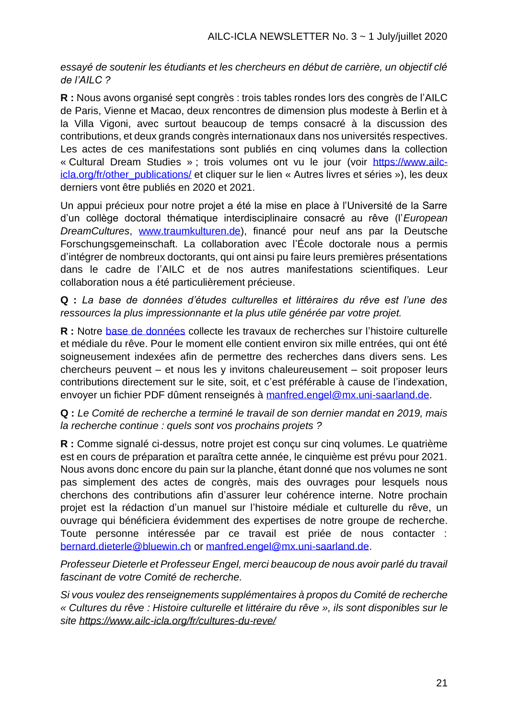*essayé de soutenir les étudiants et les chercheurs en début de carrière, un objectif clé de l'AILC ?*

**R :** Nous avons organisé sept congrès : trois tables rondes lors des congrès de l'AILC de Paris, Vienne et Macao, deux rencontres de dimension plus modeste à Berlin et à la Villa Vigoni, avec surtout beaucoup de temps consacré à la discussion des contributions, et deux grands congrès internationaux dans nos universités respectives. Les actes de ces manifestations sont publiés en cinq volumes dans la collection « Cultural Dream Studies » ; trois volumes ont vu le jour (voir [https://www.ailc](https://www.ailc-icla.org/fr/other_publications/)[icla.org/fr/other\\_publications/](https://www.ailc-icla.org/fr/other_publications/) et cliquer sur le lien « Autres livres et séries »), les deux derniers vont être publiés en 2020 et 2021.

Un appui précieux pour notre projet a été la mise en place à l'Université de la Sarre d'un collège doctoral thématique interdisciplinaire consacré au rêve (l'*European DreamCultures*, [www.traumkulturen.de\)](http://www.traumkulturen.de/), financé pour neuf ans par la Deutsche Forschungsgemeinschaft. La collaboration avec l'École doctorale nous a permis d'intégrer de nombreux doctorants, qui ont ainsi pu faire leurs premières présentations dans le cadre de l'AILC et de nos autres manifestations scientifiques. Leur collaboration nous a été particulièrement précieuse.

**Q :** *La base de données d'études culturelles et littéraires du rêve est l'une des ressources la plus impressionnante et la plus utile générée par votre projet.* 

**R :** Notre [base de données](http://kulturpoetik.germanistik.uni-saarland.de/DreamCultures/fr/research_search.php) collecte les travaux de recherches sur l'histoire culturelle et médiale du rêve. Pour le moment elle contient environ six mille entrées, qui ont été soigneusement indexées afin de permettre des recherches dans divers sens. Les chercheurs peuvent – et nous les y invitons chaleureusement – soit proposer leurs contributions directement sur le site, soit, et c'est préférable à cause de l'indexation, envoyer un fichier PDF dûment renseignés à [manfred.engel@mx.uni-saarland.de.](mailto:manfred.engel@mx.uni-saarland.de)

**Q :** *Le Comité de recherche a terminé le travail de son dernier mandat en 2019, mais la recherche continue : quels sont vos prochains projets ?*

**R :** Comme signalé ci-dessus, notre projet est conçu sur cinq volumes. Le quatrième est en cours de préparation et paraîtra cette année, le cinquième est prévu pour 2021. Nous avons donc encore du pain sur la planche, étant donné que nos volumes ne sont pas simplement des actes de congrès, mais des ouvrages pour lesquels nous cherchons des contributions afin d'assurer leur cohérence interne. Notre prochain projet est la rédaction d'un manuel sur l'histoire médiale et culturelle du rêve, un ouvrage qui bénéficiera évidemment des expertises de notre groupe de recherche. Toute personne intéressée par ce travail est priée de nous contacter : [bernard.dieterle@bluewin.ch](mailto:bernard.dieterle@bluewin.ch) or [manfred.engel@mx.uni-saarland.de.](mailto:manfred.engel@mx.uni-saarland.de)

*Professeur Dieterle et Professeur Engel, merci beaucoup de nous avoir parlé du travail fascinant de votre Comité de recherche.*

*Si vous voulez des renseignements supplémentaires à propos du Comité de recherche « Cultures du rêve : Histoire culturelle et littéraire du rêve », ils sont disponibles sur le site<https://www.ailc-icla.org/fr/cultures-du-reve/>*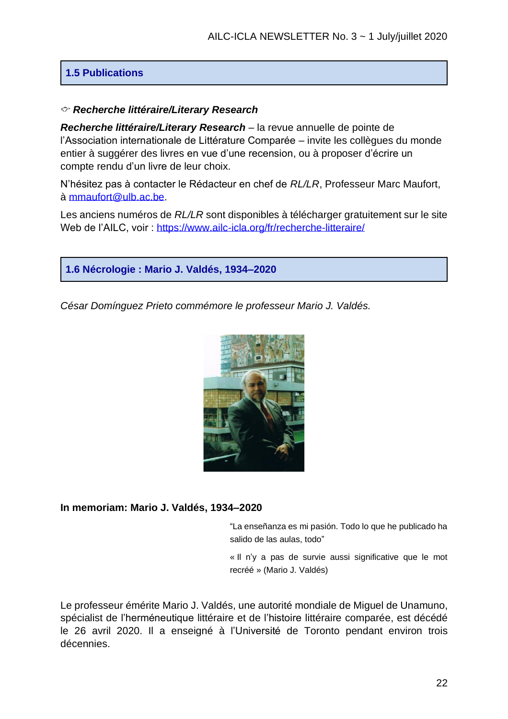#### **1.5 Publications**

#### *Recherche littéraire/Literary Research*

*Recherche littéraire/Literary Research* – la revue annuelle de pointe de l'Association internationale de Littérature Comparée – invite les collègues du monde entier à suggérer des livres en vue d'une recension, ou à proposer d'écrire un compte rendu d'un livre de leur choix.

N'hésitez pas à contacter le Rédacteur en chef de *RL/LR*, Professeur Marc Maufort, à [mmaufort@ulb.ac.be.](mailto:mmaufort@ulb.ac.be)

Les anciens numéros de *RL/LR* sont disponibles à télécharger gratuitement sur le site Web de l'AILC, voir :<https://www.ailc-icla.org/fr/recherche-litteraire/>



*César Domínguez Prieto commémore le professeur Mario J. Valdés.*



#### **In memoriam: Mario J. Valdés, 1934–2020**

"La enseñanza es mi pasión. Todo lo que he publicado ha salido de las aulas, todo"

« Il n'y a pas de survie aussi significative que le mot recréé » (Mario J. Valdés)

Le professeur émérite Mario J. Valdés, une autorité mondiale de Miguel de Unamuno, spécialist de l'herméneutique littéraire et de l'histoire littéraire comparée, est décédé le 26 avril 2020. Il a enseigné à l'Université de Toronto pendant environ trois décennies.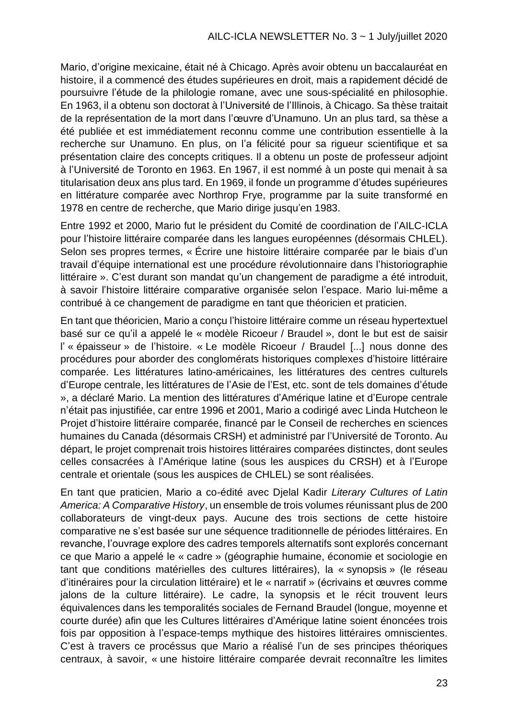Mario, d'origine mexicaine, était né à Chicago. Après avoir obtenu un baccalauréat en histoire, il a commencé des études supérieures en droit, mais a rapidement décidé de poursuivre l'étude de la philologie romane, avec une sous-spécialité en philosophie. En 1963, il a obtenu son doctorat à l'Université de l'Illinois, à Chicago. Sa thèse traitait de la représentation de la mort dans l'œuvre d'Unamuno. Un an plus tard, sa thèse a été publiée et est immédiatement reconnu comme une contribution essentielle à la recherche sur Unamuno. En plus, on l'a félicité pour sa rigueur scientifique et sa présentation claire des concepts critiques. Il a obtenu un poste de professeur adjoint à l'Université de Toronto en 1963. En 1967, il est nommé à un poste qui menait à sa titularisation deux ans plus tard. En 1969, il fonde un programme d'études supérieures en littérature comparée avec Northrop Frye, programme par la suite transformé en 1978 en centre de recherche, que Mario dirige jusqu'en 1983.

Entre 1992 et 2000, Mario fut le président du Comité de coordination de l'AILC-ICLA pour l'histoire littéraire comparée dans les langues européennes (désormais CHLEL). Selon ses propres termes, « Écrire une histoire littéraire comparée par le biais d'un travail d'équipe international est une procédure révolutionnaire dans l'historiographie littéraire ». C'est durant son mandat qu'un changement de paradigme a été introduit, à savoir l'histoire littéraire comparative organisée selon l'espace. Mario lui-même a contribué à ce changement de paradigme en tant que théoricien et praticien.

En tant que théoricien, Mario a conçu l'histoire littéraire comme un réseau hypertextuel basé sur ce qu'il a appelé le « modèle Ricoeur / Braudel », dont le but est de saisir l' « épaisseur » de l'histoire. « Le modèle Ricoeur / Braudel [...] nous donne des procédures pour aborder des conglomérats historiques complexes d'histoire littéraire comparée. Les littératures latino-américaines, les littératures des centres culturels d'Europe centrale, les littératures de l'Asie de l'Est, etc. sont de tels domaines d'étude », a déclaré Mario. La mention des littératures d'Amérique latine et d'Europe centrale n'était pas injustifiée, car entre 1996 et 2001, Mario a codirigé avec Linda Hutcheon le Projet d'histoire littéraire comparée, financé par le Conseil de recherches en sciences humaines du Canada (désormais CRSH) et administré par l'Université de Toronto. Au départ, le projet comprenait trois histoires littéraires comparées distinctes, dont seules celles consacrées à l'Amérique latine (sous les auspices du CRSH) et à l'Europe centrale et orientale (sous les auspices de CHLEL) se sont réalisées.

En tant que praticien, Mario a co-édité avec Djelal Kadir *Literary Cultures of Latin America: A Comparative History*, un ensemble de trois volumes réunissant plus de 200 collaborateurs de vingt-deux pays. Aucune des trois sections de cette histoire comparative ne s'est basée sur une séquence traditionnelle de périodes littéraires. En revanche, l'ouvrage explore des cadres temporels alternatifs sont explorés concernant ce que Mario a appelé le « cadre » (géographie humaine, économie et sociologie en tant que conditions matérielles des cultures littéraires), la « synopsis » (le réseau d'itinéraires pour la circulation littéraire) et le « narratif » (écrivains et œuvres comme jalons de la culture littéraire). Le cadre, la synopsis et le récit trouvent leurs équivalences dans les temporalités sociales de Fernand Braudel (longue, moyenne et courte durée) afin que les Cultures littéraires d'Amérique latine soient énoncées trois fois par opposition à l'espace-temps mythique des histoires littéraires omniscientes. C'est à travers ce procéssus que Mario a réalisé l'un de ses principes théoriques centraux, à savoir, « une histoire littéraire comparée devrait reconnaître les limites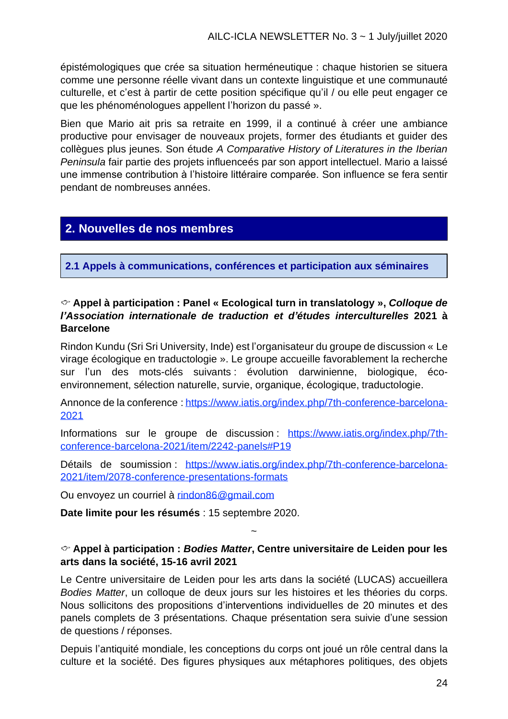épistémologiques que crée sa situation herméneutique : chaque historien se situera comme une personne réelle vivant dans un contexte linguistique et une communauté culturelle, et c'est à partir de cette position spécifique qu'il / ou elle peut engager ce que les phénoménologues appellent l'horizon du passé ».

Bien que Mario ait pris sa retraite en 1999, il a continué à créer une ambiance productive pour envisager de nouveaux projets, former des étudiants et guider des collègues plus jeunes. Son étude *A Comparative History of Literatures in the Iberian Peninsula* fair partie des projets influenceés par son apport intellectuel. Mario a laissé une immense contribution à l'histoire littéraire comparée. Son influence se fera sentir pendant de nombreuses années.

### **2. Nouvelles de nos membres**

**2.1 Appels à communications, conférences et participation aux séminaires**

#### **Appel à participation : Panel « Ecological turn in translatology »,** *Colloque de l'Association internationale de traduction et d'études interculturelles* **2021 à Barcelone**

Rindon Kundu (Sri Sri University, Inde) est l'organisateur du groupe de discussion « Le virage écologique en traductologie ». Le groupe accueille favorablement la recherche sur l'un des mots-clés suivants : évolution darwinienne, biologique, écoenvironnement, sélection naturelle, survie, organique, écologique, traductologie.

Annonce de la conference : https://www.iatis.org/index.php/7th-conference-barcelona-2021

Informations sur le groupe de discussion : https://www.iatis.org/index.php/7thconference-barcelona-2021/item/2242-panels#P19

Détails de soumission : https://www.iatis.org/index.php/7th-conference-barcelona-2021/item/2078-conference-presentations-formats

Ou envoyez un courriel à rindon86@gmail.com

**Date limite pour les résumés** : 15 septembre 2020.

#### **Appel à participation :** *Bodies Matter***, Centre universitaire de Leiden pour les arts dans la société, 15-16 avril 2021**

~

Le Centre universitaire de Leiden pour les arts dans la société (LUCAS) accueillera *Bodies Matter*, un colloque de deux jours sur les histoires et les théories du corps. Nous sollicitons des propositions d'interventions individuelles de 20 minutes et des panels complets de 3 présentations. Chaque présentation sera suivie d'une session de questions / réponses.

Depuis l'antiquité mondiale, les conceptions du corps ont joué un rôle central dans la culture et la société. Des figures physiques aux métaphores politiques, des objets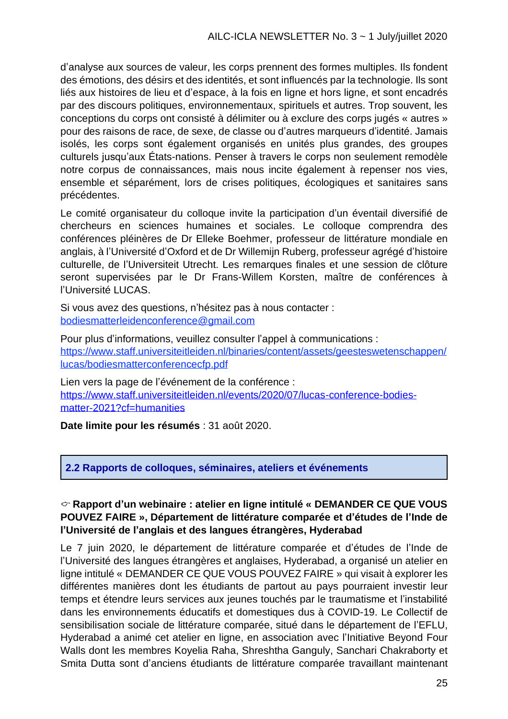d'analyse aux sources de valeur, les corps prennent des formes multiples. Ils fondent des émotions, des désirs et des identités, et sont influencés par la technologie. Ils sont liés aux histoires de lieu et d'espace, à la fois en ligne et hors ligne, et sont encadrés par des discours politiques, environnementaux, spirituels et autres. Trop souvent, les conceptions du corps ont consisté à délimiter ou à exclure des corps jugés « autres » pour des raisons de race, de sexe, de classe ou d'autres marqueurs d'identité. Jamais isolés, les corps sont également organisés en unités plus grandes, des groupes culturels jusqu'aux États-nations. Penser à travers le corps non seulement remodèle notre corpus de connaissances, mais nous incite également à repenser nos vies, ensemble et séparément, lors de crises politiques, écologiques et sanitaires sans précédentes.

Le comité organisateur du colloque invite la participation d'un éventail diversifié de chercheurs en sciences humaines et sociales. Le colloque comprendra des conférences pléinères de Dr Elleke Boehmer, professeur de littérature mondiale en anglais, à l'Université d'Oxford et de Dr Willemijn Ruberg, professeur agrégé d'histoire culturelle, de l'Universiteit Utrecht. Les remarques finales et une session de clôture seront supervisées par le Dr Frans-Willem Korsten, maître de conférences à l'Université LUCAS.

Si vous avez des questions, n'hésitez pas à nous contacter : bodiesmatterleidenconference@gmail.com

Pour plus d'informations, veuillez consulter l'appel à communications : https://www.staff.universiteitleiden.nl/binaries/content/assets/geesteswetenschappen/ lucas/bodiesmatterconferencecfp.pdf

Lien vers la page de l'événement de la conférence : [https://www.staff.universiteitleiden.nl/events/2020/07/lucas-conference-bodies](https://www.staff.universiteitleiden.nl/events/2020/07/lucas-conference-bodies-matter-2021?cf=humanities)[matter-2021?cf=humanities](https://www.staff.universiteitleiden.nl/events/2020/07/lucas-conference-bodies-matter-2021?cf=humanities)

**Date limite pour les résumés** : 31 août 2020.

**2.2 Rapports de colloques, séminaires, ateliers et événements**

#### **Rapport d'un webinaire : atelier en ligne intitulé « DEMANDER CE QUE VOUS POUVEZ FAIRE », Département de littérature comparée et d'études de l'Inde de l'Université de l'anglais et des langues étrangères, Hyderabad**

Le 7 juin 2020, le département de littérature comparée et d'études de l'Inde de l'Université des langues étrangères et anglaises, Hyderabad, a organisé un atelier en ligne intitulé « DEMANDER CE QUE VOUS POUVEZ FAIRE » qui visait à explorer les différentes manières dont les étudiants de partout au pays pourraient investir leur temps et étendre leurs services aux jeunes touchés par le traumatisme et l'instabilité dans les environnements éducatifs et domestiques dus à COVID-19. Le Collectif de sensibilisation sociale de littérature comparée, situé dans le département de l'EFLU, Hyderabad a animé cet atelier en ligne, en association avec l'Initiative Beyond Four Walls dont les membres Koyelia Raha, Shreshtha Ganguly, Sanchari Chakraborty et Smita Dutta sont d'anciens étudiants de littérature comparée travaillant maintenant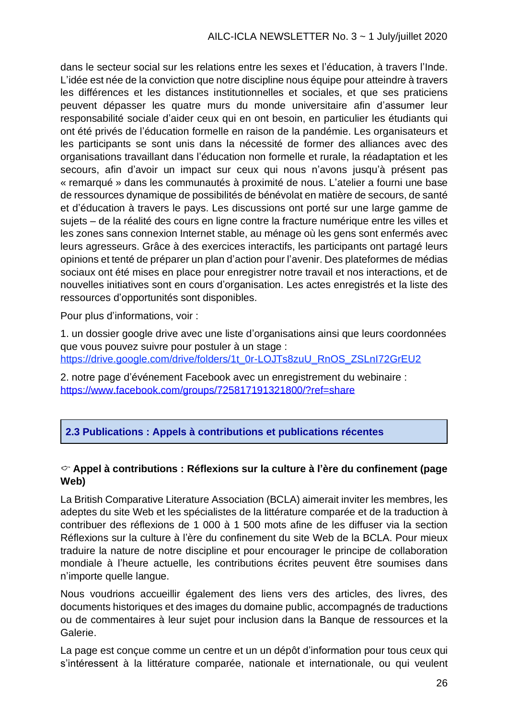dans le secteur social sur les relations entre les sexes et l'éducation, à travers l'Inde. L'idée est née de la conviction que notre discipline nous équipe pour atteindre à travers les différences et les distances institutionnelles et sociales, et que ses praticiens peuvent dépasser les quatre murs du monde universitaire afin d'assumer leur responsabilité sociale d'aider ceux qui en ont besoin, en particulier les étudiants qui ont été privés de l'éducation formelle en raison de la pandémie. Les organisateurs et les participants se sont unis dans la nécessité de former des alliances avec des organisations travaillant dans l'éducation non formelle et rurale, la réadaptation et les secours, afin d'avoir un impact sur ceux qui nous n'avons jusqu'à présent pas « remarqué » dans les communautés à proximité de nous. L'atelier a fourni une base de ressources dynamique de possibilités de bénévolat en matière de secours, de santé et d'éducation à travers le pays. Les discussions ont porté sur une large gamme de sujets – de la réalité des cours en ligne contre la fracture numérique entre les villes et les zones sans connexion Internet stable, au ménage où les gens sont enfermés avec leurs agresseurs. Grâce à des exercices interactifs, les participants ont partagé leurs opinions et tenté de préparer un plan d'action pour l'avenir. Des plateformes de médias sociaux ont été mises en place pour enregistrer notre travail et nos interactions, et de nouvelles initiatives sont en cours d'organisation. Les actes enregistrés et la liste des ressources d'opportunités sont disponibles.

Pour plus d'informations, voir :

1. un dossier google drive avec une liste d'organisations ainsi que leurs coordonnées que vous pouvez suivre pour postuler à un stage : https://drive.google.com/drive/folders/1t\_0r-LOJTs8zuU\_RnOS\_ZSLnI72GrEU2

2. notre page d'événement Facebook avec un enregistrement du webinaire : <https://www.facebook.com/groups/725817191321800/?ref=share>

#### **2.3 Publications : Appels à contributions et publications récentes**

#### **Appel à contributions : Réflexions sur la culture à l'ère du confinement (page Web)**

La British Comparative Literature Association (BCLA) aimerait inviter les membres, les adeptes du site Web et les spécialistes de la littérature comparée et de la traduction à contribuer des réflexions de 1 000 à 1 500 mots afine de les diffuser via la section Réflexions sur la culture à l'ère du confinement du site Web de la BCLA. Pour mieux traduire la nature de notre discipline et pour encourager le principe de collaboration mondiale à l'heure actuelle, les contributions écrites peuvent être soumises dans n'importe quelle langue.

Nous voudrions accueillir également des liens vers des articles, des livres, des documents historiques et des images du domaine public, accompagnés de traductions ou de commentaires à leur sujet pour inclusion dans la Banque de ressources et la Galerie.

La page est conçue comme un centre et un un dépôt d'information pour tous ceux qui s'intéressent à la littérature comparée, nationale et internationale, ou qui veulent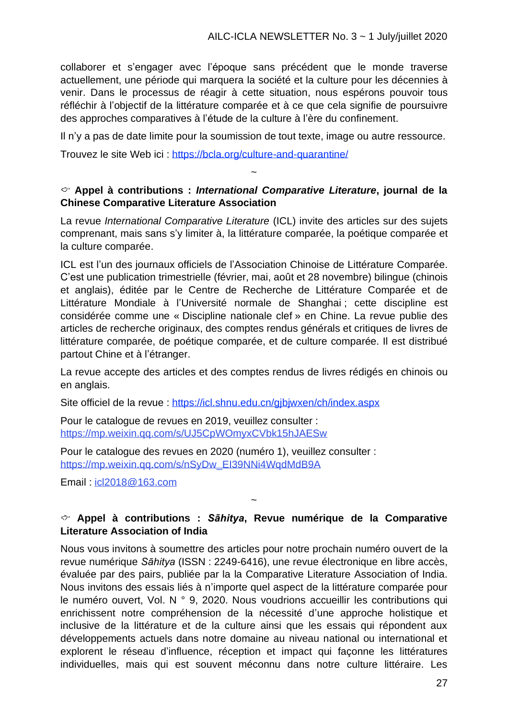collaborer et s'engager avec l'époque sans précédent que le monde traverse actuellement, une période qui marquera la société et la culture pour les décennies à venir. Dans le processus de réagir à cette situation, nous espérons pouvoir tous réfléchir à l'objectif de la littérature comparée et à ce que cela signifie de poursuivre des approches comparatives à l'étude de la culture à l'ère du confinement.

Il n'y a pas de date limite pour la soumission de tout texte, image ou autre ressource.

Trouvez le site Web ici : https://bcla.org/culture-and-quarantine/

#### **Appel à contributions :** *International Comparative Literature***, journal de la Chinese Comparative Literature Association**

~

La revue *International Comparative Literature* (ICL) invite des articles sur des sujets comprenant, mais sans s'y limiter à, la littérature comparée, la poétique comparée et la culture comparée.

ICL est l'un des journaux officiels de l'Association Chinoise de Littérature Comparée. C'est une publication trimestrielle (février, mai, août et 28 novembre) bilingue (chinois et anglais), éditée par le Centre de Recherche de Littérature Comparée et de Littérature Mondiale à l'Université normale de Shanghai ; cette discipline est considérée comme une « Discipline nationale clef » en Chine. La revue publie des articles de recherche originaux, des comptes rendus générals et critiques de livres de littérature comparée, de poétique comparée, et de culture comparée. Il est distribué partout Chine et à l'étranger.

La revue accepte des articles et des comptes rendus de livres rédigés en chinois ou en anglais.

Site officiel de la revue : https://icl.shnu.edu.cn/gjbjwxen/ch/index.aspx

Pour le catalogue de revues en 2019, veuillez consulter : https://mp.weixin.qq.com/s/UJ5CpWOmyxCVbk15hJAESw

Pour le catalogue des revues en 2020 (numéro 1), veuillez consulter : https://mp.weixin.qq.com/s/nSyDw\_EI39NNi4WqdMdB9A

Email : icl2018@163.com

#### **Appel à contributions :** *Sāhitya***, Revue numérique de la Comparative Literature Association of India**

~

Nous vous invitons à soumettre des articles pour notre prochain numéro ouvert de la revue numérique *Sāhitya* (ISSN : 2249-6416), une revue électronique en libre accès, évaluée par des pairs, publiée par la la Comparative Literature Association of India. Nous invitons des essais liés à n'importe quel aspect de la littérature comparée pour le numéro ouvert, Vol. N ° 9, 2020. Nous voudrions accueillir les contributions qui enrichissent notre compréhension de la nécessité d'une approche holistique et inclusive de la littérature et de la culture ainsi que les essais qui répondent aux développements actuels dans notre domaine au niveau national ou international et explorent le réseau d'influence, réception et impact qui façonne les littératures individuelles, mais qui est souvent méconnu dans notre culture littéraire. Les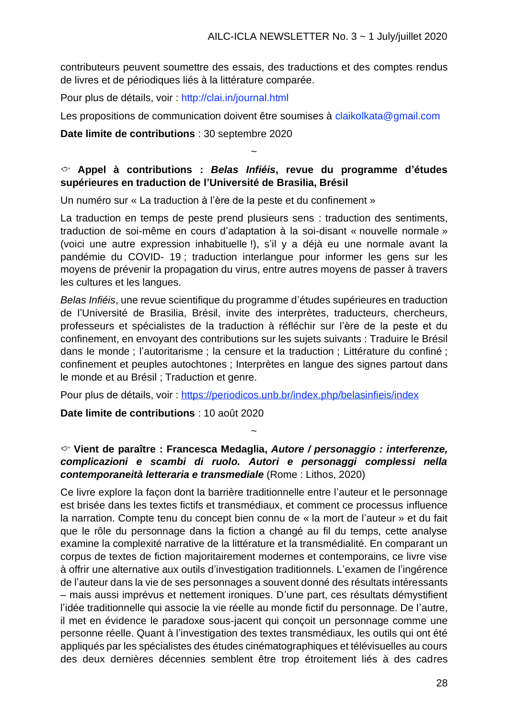contributeurs peuvent soumettre des essais, des traductions et des comptes rendus de livres et de périodiques liés à la littérature comparée.

Pour plus de détails, voir : http://clai.in/journal.html

Les propositions de communication doivent être soumises à claikolkata@gmail.com

#### **Date limite de contributions** : 30 septembre 2020

#### **Appel à contributions :** *Belas Infiéis***, revue du programme d'études supérieures en traduction de l'Université de Brasilia, Brésil**

~

Un numéro sur « La traduction à l'ère de la peste et du confinement »

La traduction en temps de peste prend plusieurs sens : traduction des sentiments, traduction de soi-même en cours d'adaptation à la soi-disant « nouvelle normale » (voici une autre expression inhabituelle !), s'il y a déjà eu une normale avant la pandémie du COVID- 19 ; traduction interlangue pour informer les gens sur les moyens de prévenir la propagation du virus, entre autres moyens de passer à travers les cultures et les langues.

*Belas Infiéis*, une revue scientifique du programme d'études supérieures en traduction de l'Université de Brasilia, Brésil, invite des interprètes, traducteurs, chercheurs, professeurs et spécialistes de la traduction à réfléchir sur l'ère de la peste et du confinement, en envoyant des contributions sur les sujets suivants : Traduire le Brésil dans le monde ; l'autoritarisme ; la censure et la traduction ; Littérature du confiné ; confinement et peuples autochtones ; Interprètes en langue des signes partout dans le monde et au Brésil ; Traduction et genre.

Pour plus de détails, voir : https://periodicos.unb.br/index.php/belasinfieis/index

**Date limite de contributions** : 10 août 2020

#### **Vient de paraître : Francesca Medaglia,** *Autore / personaggio : interferenze, complicazioni e scambi di ruolo. Autori e personaggi complessi nella contemporaneità letteraria e transmediale* (Rome : Lithos, 2020)

~

Ce livre explore la façon dont la barrière traditionnelle entre l'auteur et le personnage est brisée dans les textes fictifs et transmédiaux, et comment ce processus influence la narration. Compte tenu du concept bien connu de « la mort de l'auteur » et du fait que le rôle du personnage dans la fiction a changé au fil du temps, cette analyse examine la complexité narrative de la littérature et la transmédialité. En comparant un corpus de textes de fiction majoritairement modernes et contemporains, ce livre vise à offrir une alternative aux outils d'investigation traditionnels. L'examen de l'ingérence de l'auteur dans la vie de ses personnages a souvent donné des résultats intéressants – mais aussi imprévus et nettement ironiques. D'une part, ces résultats démystifient l'idée traditionnelle qui associe la vie réelle au monde fictif du personnage. De l'autre, il met en évidence le paradoxe sous-jacent qui conçoit un personnage comme une personne réelle. Quant à l'investigation des textes transmédiaux, les outils qui ont été appliqués par les spécialistes des études cinématographiques et télévisuelles au cours des deux dernières décennies semblent être trop étroitement liés à des cadres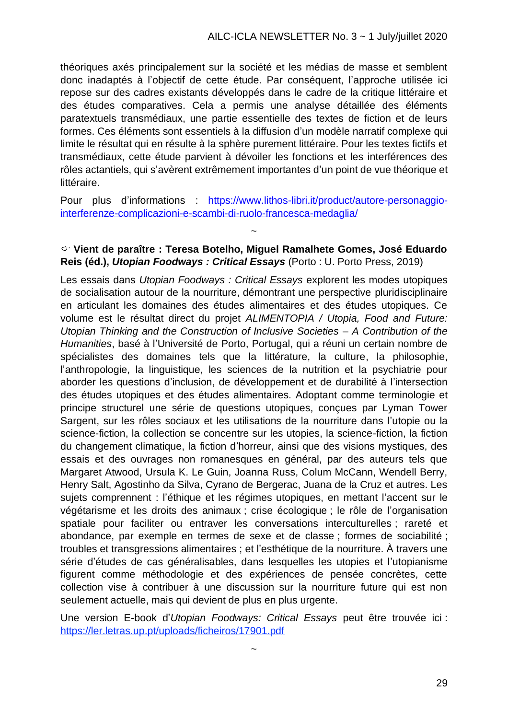théoriques axés principalement sur la société et les médias de masse et semblent donc inadaptés à l'objectif de cette étude. Par conséquent, l'approche utilisée ici repose sur des cadres existants développés dans le cadre de la critique littéraire et des études comparatives. Cela a permis une analyse détaillée des éléments paratextuels transmédiaux, une partie essentielle des textes de fiction et de leurs formes. Ces éléments sont essentiels à la diffusion d'un modèle narratif complexe qui limite le résultat qui en résulte à la sphère purement littéraire. Pour les textes fictifs et transmédiaux, cette étude parvient à dévoiler les fonctions et les interférences des rôles actantiels, qui s'avèrent extrêmement importantes d'un point de vue théorique et littéraire.

Pour plus d'informations : [https://www.lithos-libri.it/product/autore-personaggio](https://www.lithos-libri.it/product/autore-personaggio-interferenze-complicazioni-e-scambi-di-ruolo-francesca-medaglia/)[interferenze-complicazioni-e-scambi-di-ruolo-francesca-medaglia/](https://www.lithos-libri.it/product/autore-personaggio-interferenze-complicazioni-e-scambi-di-ruolo-francesca-medaglia/)

#### **Vient de paraître : Teresa Botelho, Miguel Ramalhete Gomes, José Eduardo Reis (éd.),** *Utopian Foodways : Critical Essays* (Porto : U. Porto Press, 2019)

~

Les essais dans *Utopian Foodways : Critical Essays* explorent les modes utopiques de socialisation autour de la nourriture, démontrant une perspective pluridisciplinaire en articulant les domaines des études alimentaires et des études utopiques. Ce volume est le résultat direct du projet *ALIMENTOPIA / Utopia, Food and Future: Utopian Thinking and the Construction of Inclusive Societies – A Contribution of the Humanities*, basé à l'Université de Porto, Portugal, qui a réuni un certain nombre de spécialistes des domaines tels que la littérature, la culture, la philosophie, l'anthropologie, la linguistique, les sciences de la nutrition et la psychiatrie pour aborder les questions d'inclusion, de développement et de durabilité à l'intersection des études utopiques et des études alimentaires. Adoptant comme terminologie et principe structurel une série de questions utopiques, conçues par Lyman Tower Sargent, sur les rôles sociaux et les utilisations de la nourriture dans l'utopie ou la science-fiction, la collection se concentre sur les utopies, la science-fiction, la fiction du changement climatique, la fiction d'horreur, ainsi que des visions mystiques, des essais et des ouvrages non romanesques en général, par des auteurs tels que Margaret Atwood, Ursula K. Le Guin, Joanna Russ, Colum McCann, Wendell Berry, Henry Salt, Agostinho da Silva, Cyrano de Bergerac, Juana de la Cruz et autres. Les sujets comprennent : l'éthique et les régimes utopiques, en mettant l'accent sur le végétarisme et les droits des animaux ; crise écologique ; le rôle de l'organisation spatiale pour faciliter ou entraver les conversations interculturelles ; rareté et abondance, par exemple en termes de sexe et de classe ; formes de sociabilité ; troubles et transgressions alimentaires ; et l'esthétique de la nourriture. À travers une série d'études de cas généralisables, dans lesquelles les utopies et l'utopianisme figurent comme méthodologie et des expériences de pensée concrètes, cette collection vise à contribuer à une discussion sur la nourriture future qui est non seulement actuelle, mais qui devient de plus en plus urgente.

Une version E-book d'*Utopian Foodways: Critical Essays* peut être trouvée ici : https://ler.letras.up.pt/uploads/ficheiros/17901.pdf

~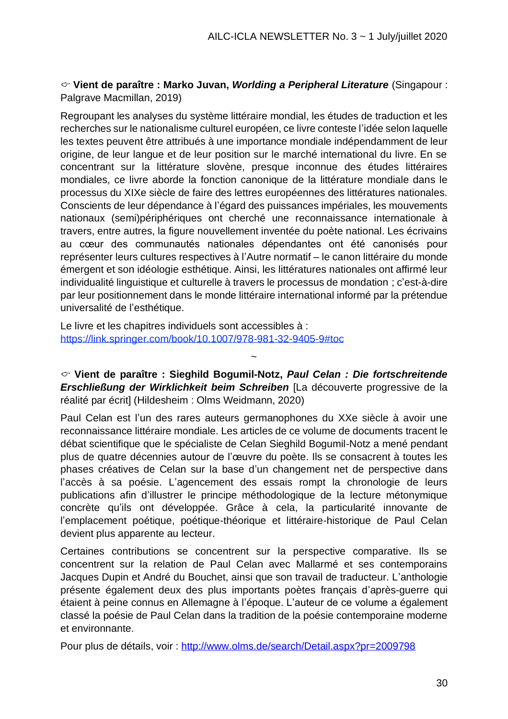#### **Vient de paraître : Marko Juvan,** *Worlding a Peripheral Literature* (Singapour : Palgrave Macmillan, 2019)

Regroupant les analyses du système littéraire mondial, les études de traduction et les recherches sur le nationalisme culturel européen, ce livre conteste l'idée selon laquelle les textes peuvent être attribués à une importance mondiale indépendamment de leur origine, de leur langue et de leur position sur le marché international du livre. En se concentrant sur la littérature slovène, presque inconnue des études littéraires mondiales, ce livre aborde la fonction canonique de la littérature mondiale dans le processus du XIXe siècle de faire des lettres européennes des littératures nationales. Conscients de leur dépendance à l'égard des puissances impériales, les mouvements nationaux (semi)périphériques ont cherché une reconnaissance internationale à travers, entre autres, la figure nouvellement inventée du poète national. Les écrivains au cœur des communautés nationales dépendantes ont été canonisés pour représenter leurs cultures respectives à l'Autre normatif – le canon littéraire du monde émergent et son idéologie esthétique. Ainsi, les littératures nationales ont affirmé leur individualité linguistique et culturelle à travers le processus de mondation ; c'est-à-dire par leur positionnement dans le monde littéraire international informé par la prétendue universalité de l'esthétique.

Le livre et les chapitres individuels sont accessibles à : https://link.springer.com/book/10.1007/978-981-32-9405-9#toc

**Vient de paraître : Sieghild Bogumil-Notz,** *Paul Celan : Die fortschreitende Erschließung der Wirklichkeit beim Schreiben* [La découverte progressive de la réalité par écrit] (Hildesheim : Olms Weidmann, 2020)

~

Paul Celan est l'un des rares auteurs germanophones du XXe siècle à avoir une reconnaissance littéraire mondiale. Les articles de ce volume de documents tracent le débat scientifique que le spécialiste de Celan Sieghild Bogumil-Notz a mené pendant plus de quatre décennies autour de l'œuvre du poète. Ils se consacrent à toutes les phases créatives de Celan sur la base d'un changement net de perspective dans l'accès à sa poésie. L'agencement des essais rompt la chronologie de leurs publications afin d'illustrer le principe méthodologique de la lecture métonymique concrète qu'ils ont développée. Grâce à cela, la particularité innovante de l'emplacement poétique, poétique-théorique et littéraire-historique de Paul Celan devient plus apparente au lecteur.

Certaines contributions se concentrent sur la perspective comparative. Ils se concentrent sur la relation de Paul Celan avec Mallarmé et ses contemporains Jacques Dupin et André du Bouchet, ainsi que son travail de traducteur. L'anthologie présente également deux des plus importants poètes français d'après-guerre qui étaient à peine connus en Allemagne à l'époque. L'auteur de ce volume a également classé la poésie de Paul Celan dans la tradition de la poésie contemporaine moderne et environnante.

Pour plus de détails, voir : <http://www.olms.de/search/Detail.aspx?pr=2009798>